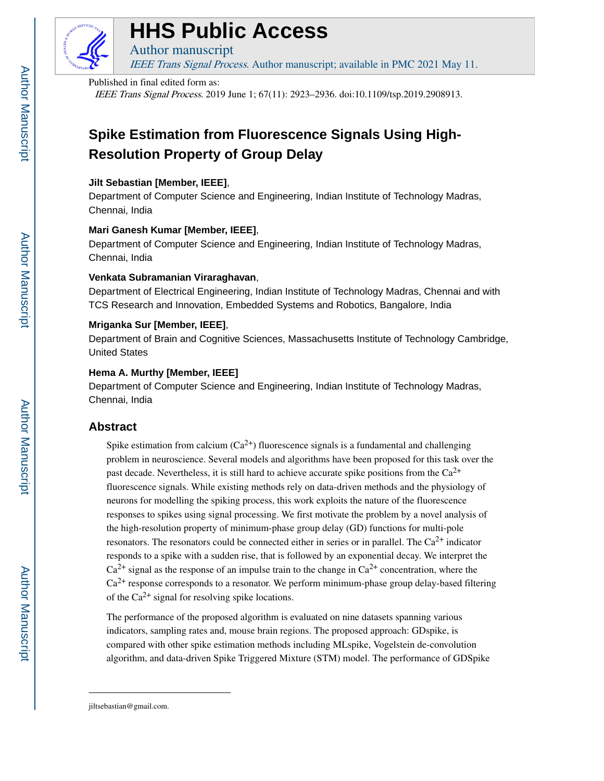

# **HHS Public Access**

Author manuscript IEEE Trans Signal Process. Author manuscript; available in PMC 2021 May 11.

## Published in final edited form as:

IEEE Trans Signal Process. 2019 June 1; 67(11): 2923–2936. doi:10.1109/tsp.2019.2908913.

# **Spike Estimation from Fluorescence Signals Using High-Resolution Property of Group Delay**

# **Jilt Sebastian [Member, IEEE]**,

Department of Computer Science and Engineering, Indian Institute of Technology Madras, Chennai, India

# **Mari Ganesh Kumar [Member, IEEE]**,

Department of Computer Science and Engineering, Indian Institute of Technology Madras, Chennai, India

# **Venkata Subramanian Viraraghavan**,

Department of Electrical Engineering, Indian Institute of Technology Madras, Chennai and with TCS Research and Innovation, Embedded Systems and Robotics, Bangalore, India

# **Mriganka Sur [Member, IEEE]**,

Department of Brain and Cognitive Sciences, Massachusetts Institute of Technology Cambridge, United States

# **Hema A. Murthy [Member, IEEE]**

Department of Computer Science and Engineering, Indian Institute of Technology Madras, Chennai, India

# **Abstract**

Spike estimation from calcium  $(Ca^{2+})$  fluorescence signals is a fundamental and challenging problem in neuroscience. Several models and algorithms have been proposed for this task over the past decade. Nevertheless, it is still hard to achieve accurate spike positions from the  $Ca^{2+}$ fluorescence signals. While existing methods rely on data-driven methods and the physiology of neurons for modelling the spiking process, this work exploits the nature of the fluorescence responses to spikes using signal processing. We first motivate the problem by a novel analysis of the high-resolution property of minimum-phase group delay (GD) functions for multi-pole resonators. The resonators could be connected either in series or in parallel. The  $Ca<sup>2+</sup>$  indicator responds to a spike with a sudden rise, that is followed by an exponential decay. We interpret the  $Ca^{2+}$  signal as the response of an impulse train to the change in  $Ca^{2+}$  concentration, where the  $Ca<sup>2+</sup>$  response corresponds to a resonator. We perform minimum-phase group delay-based filtering of the  $Ca^{2+}$  signal for resolving spike locations.

The performance of the proposed algorithm is evaluated on nine datasets spanning various indicators, sampling rates and, mouse brain regions. The proposed approach: GDspike, is compared with other spike estimation methods including MLspike, Vogelstein de-convolution algorithm, and data-driven Spike Triggered Mixture (STM) model. The performance of GDSpike

jiltsebastian@gmail.com.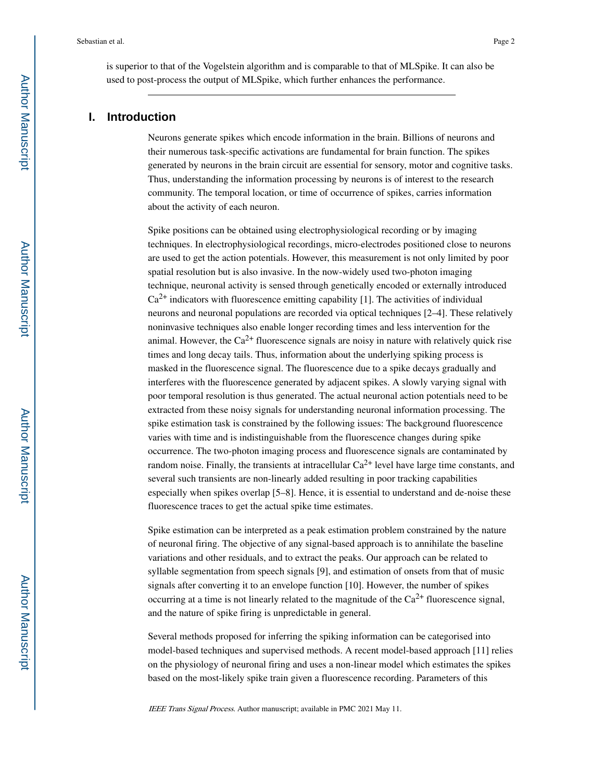is superior to that of the Vogelstein algorithm and is comparable to that of MLSpike. It can also be used to post-process the output of MLSpike, which further enhances the performance.

# **I. Introduction**

Neurons generate spikes which encode information in the brain. Billions of neurons and their numerous task-specific activations are fundamental for brain function. The spikes generated by neurons in the brain circuit are essential for sensory, motor and cognitive tasks. Thus, understanding the information processing by neurons is of interest to the research community. The temporal location, or time of occurrence of spikes, carries information about the activity of each neuron.

Spike positions can be obtained using electrophysiological recording or by imaging techniques. In electrophysiological recordings, micro-electrodes positioned close to neurons are used to get the action potentials. However, this measurement is not only limited by poor spatial resolution but is also invasive. In the now-widely used two-photon imaging technique, neuronal activity is sensed through genetically encoded or externally introduced  $Ca<sup>2+</sup>$  indicators with fluorescence emitting capability [1]. The activities of individual neurons and neuronal populations are recorded via optical techniques [2–4]. These relatively noninvasive techniques also enable longer recording times and less intervention for the animal. However, the  $Ca^{2+}$  fluorescence signals are noisy in nature with relatively quick rise times and long decay tails. Thus, information about the underlying spiking process is masked in the fluorescence signal. The fluorescence due to a spike decays gradually and interferes with the fluorescence generated by adjacent spikes. A slowly varying signal with poor temporal resolution is thus generated. The actual neuronal action potentials need to be extracted from these noisy signals for understanding neuronal information processing. The spike estimation task is constrained by the following issues: The background fluorescence varies with time and is indistinguishable from the fluorescence changes during spike occurrence. The two-photon imaging process and fluorescence signals are contaminated by random noise. Finally, the transients at intracellular  $Ca^{2+}$  level have large time constants, and several such transients are non-linearly added resulting in poor tracking capabilities especially when spikes overlap [5–8]. Hence, it is essential to understand and de-noise these fluorescence traces to get the actual spike time estimates.

Spike estimation can be interpreted as a peak estimation problem constrained by the nature of neuronal firing. The objective of any signal-based approach is to annihilate the baseline variations and other residuals, and to extract the peaks. Our approach can be related to syllable segmentation from speech signals [9], and estimation of onsets from that of music signals after converting it to an envelope function [10]. However, the number of spikes occurring at a time is not linearly related to the magnitude of the  $Ca^{2+}$  fluorescence signal, and the nature of spike firing is unpredictable in general.

Several methods proposed for inferring the spiking information can be categorised into model-based techniques and supervised methods. A recent model-based approach [11] relies on the physiology of neuronal firing and uses a non-linear model which estimates the spikes based on the most-likely spike train given a fluorescence recording. Parameters of this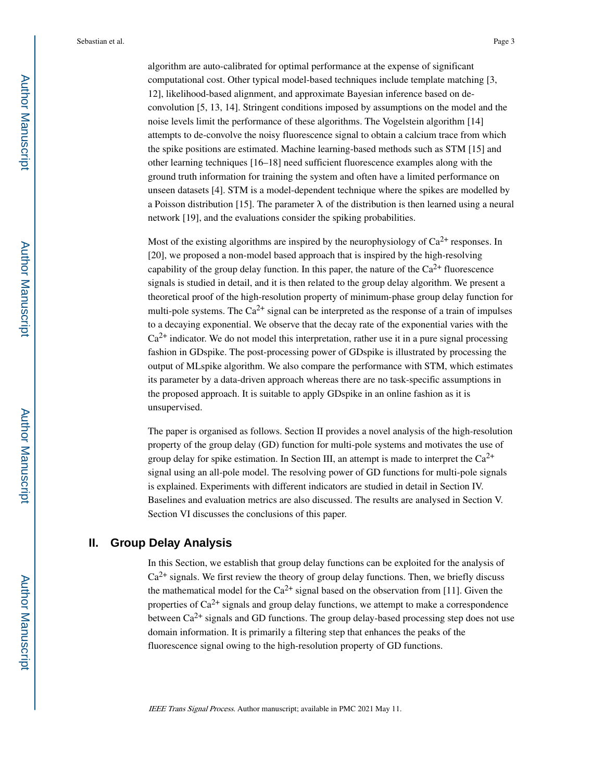algorithm are auto-calibrated for optimal performance at the expense of significant computational cost. Other typical model-based techniques include template matching [3, 12], likelihood-based alignment, and approximate Bayesian inference based on deconvolution [5, 13, 14]. Stringent conditions imposed by assumptions on the model and the noise levels limit the performance of these algorithms. The Vogelstein algorithm [14] attempts to de-convolve the noisy fluorescence signal to obtain a calcium trace from which the spike positions are estimated. Machine learning-based methods such as STM [15] and other learning techniques [16–18] need sufficient fluorescence examples along with the ground truth information for training the system and often have a limited performance on unseen datasets [4]. STM is a model-dependent technique where the spikes are modelled by a Poisson distribution [15]. The parameter  $\lambda$  of the distribution is then learned using a neural network [19], and the evaluations consider the spiking probabilities.

Most of the existing algorithms are inspired by the neurophysiology of  $Ca^{2+}$  responses. In [20], we proposed a non-model based approach that is inspired by the high-resolving capability of the group delay function. In this paper, the nature of the  $Ca^{2+}$  fluorescence signals is studied in detail, and it is then related to the group delay algorithm. We present a theoretical proof of the high-resolution property of minimum-phase group delay function for multi-pole systems. The  $Ca^{2+}$  signal can be interpreted as the response of a train of impulses to a decaying exponential. We observe that the decay rate of the exponential varies with the  $Ca<sup>2+</sup>$  indicator. We do not model this interpretation, rather use it in a pure signal processing fashion in GDspike. The post-processing power of GDspike is illustrated by processing the output of MLspike algorithm. We also compare the performance with STM, which estimates its parameter by a data-driven approach whereas there are no task-specific assumptions in the proposed approach. It is suitable to apply GDspike in an online fashion as it is unsupervised.

The paper is organised as follows. Section II provides a novel analysis of the high-resolution property of the group delay (GD) function for multi-pole systems and motivates the use of group delay for spike estimation. In Section III, an attempt is made to interpret the  $Ca^{2+}$ signal using an all-pole model. The resolving power of GD functions for multi-pole signals is explained. Experiments with different indicators are studied in detail in Section IV. Baselines and evaluation metrics are also discussed. The results are analysed in Section V. Section VI discusses the conclusions of this paper.

# **II. Group Delay Analysis**

In this Section, we establish that group delay functions can be exploited for the analysis of  $Ca<sup>2+</sup>$  signals. We first review the theory of group delay functions. Then, we briefly discuss the mathematical model for the  $Ca^{2+}$  signal based on the observation from [11]. Given the properties of  $Ca^{2+}$  signals and group delay functions, we attempt to make a correspondence between  $Ca^{2+}$  signals and GD functions. The group delay-based processing step does not use domain information. It is primarily a filtering step that enhances the peaks of the fluorescence signal owing to the high-resolution property of GD functions.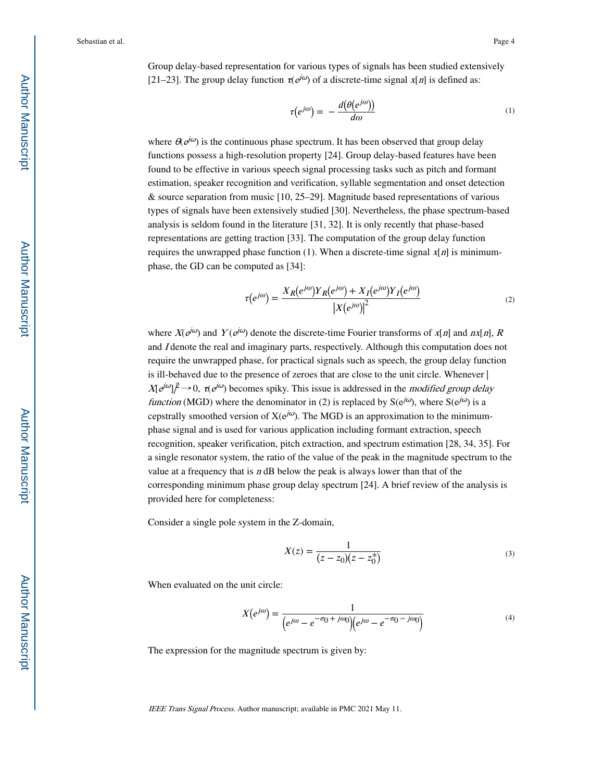Group delay-based representation for various types of signals has been studied extensively [21–23]. The group delay function  $\tau(e^{j\omega})$  of a discrete-time signal  $x[n]$  is defined as:

$$
\tau(e^{j\omega}) = -\frac{d(\theta(e^{j\omega}))}{d\omega} \tag{1}
$$

where  $\theta(e^{j\omega})$  is the continuous phase spectrum. It has been observed that group delay functions possess a high-resolution property [24]. Group delay-based features have been found to be effective in various speech signal processing tasks such as pitch and formant estimation, speaker recognition and verification, syllable segmentation and onset detection & source separation from music [10, 25–29]. Magnitude based representations of various types of signals have been extensively studied [30]. Nevertheless, the phase spectrum-based analysis is seldom found in the literature [31, 32]. It is only recently that phase-based representations are getting traction [33]. The computation of the group delay function requires the unwrapped phase function (1). When a discrete-time signal  $x[n]$  is minimumphase, the GD can be computed as [34]:

$$
\tau(e^{j\omega}) = \frac{X_R(e^{j\omega})Y_R(e^{j\omega}) + X_I(e^{j\omega})Y_I(e^{j\omega})}{\left|X(e^{j\omega})\right|^2} \tag{2}
$$

where  $X(e^{j\omega})$  and  $Y(e^{j\omega})$  denote the discrete-time Fourier transforms of  $x[n]$  and  $nx[n]$ , R and I denote the real and imaginary parts, respectively. Although this computation does not require the unwrapped phase, for practical signals such as speech, the group delay function is ill-behaved due to the presence of zeroes that are close to the unit circle. Whenever |  $X[e^{j\omega}]\ell \rightarrow 0$ ,  $\tau(e^{j\omega})$  becomes spiky. This issue is addressed in the *modified group delay* function (MGD) where the denominator in (2) is replaced by  $S(e^{j\omega})$ , where  $S(e^{j\omega})$  is a cepstrally smoothed version of  $X(e^{j\omega})$ . The MGD is an approximation to the minimumphase signal and is used for various application including formant extraction, speech recognition, speaker verification, pitch extraction, and spectrum estimation [28, 34, 35]. For a single resonator system, the ratio of the value of the peak in the magnitude spectrum to the value at a frequency that is  $n$  dB below the peak is always lower than that of the corresponding minimum phase group delay spectrum [24]. A brief review of the analysis is provided here for completeness:

Consider a single pole system in the Z-domain,

$$
X(z) = \frac{1}{(z - z_0)(z - z_0^*)}
$$
 (3)

When evaluated on the unit circle:

$$
X(e^{j\omega}) = \frac{1}{(e^{j\omega} - e^{-\sigma_0 + j\omega_0})(e^{j\omega} - e^{-\sigma_0 - j\omega_0})}
$$
(4)

The expression for the magnitude spectrum is given by: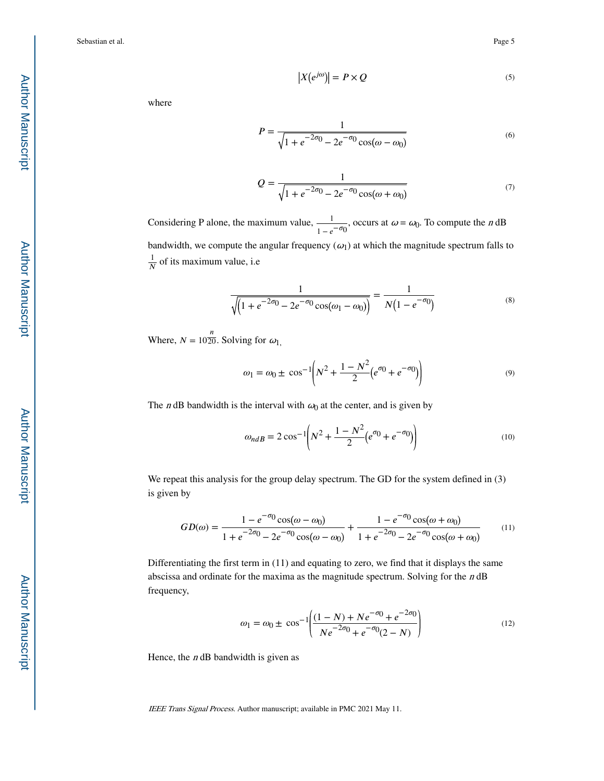$$
|X(e^{j\omega})| = P \times Q \tag{5}
$$

where

$$
P = \frac{1}{\sqrt{1 + e^{-2\sigma_0} - 2e^{-\sigma_0}\cos(\omega - \omega_0)}}
$$
(6)

$$
Q = \frac{1}{\sqrt{1 + e^{-2\sigma_0} - 2e^{-\sigma_0}\cos(\omega + \omega_0)}}
$$
(7)

Considering P alone, the maximum value,  $\frac{1}{\sqrt{1-\frac{1}{n}}}$  $\frac{1}{1 - e^{-\sigma_0}}$ , occurs at  $\omega = \omega_0$ . To compute the *n* dB bandwidth, we compute the angular frequency  $(\omega_1)$  at which the magnitude spectrum falls to 1  $\frac{1}{N}$  of its maximum value, i.e

$$
\frac{1}{\sqrt{\left(1+e^{-2\sigma_0}-2e^{-\sigma_0}\cos(\omega_1-\omega_0)\right)}}=\frac{1}{N(1-e^{-\sigma_0})}
$$
(8)

Where,  $N = 10\frac{n}{20}$ . Solving for  $\omega_{1}$ ,

$$
\omega_1 = \omega_0 \pm \cos^{-1}\left(N^2 + \frac{1 - N^2}{2}(e^{\sigma_0} + e^{-\sigma_0})\right) \tag{9}
$$

The *n* dB bandwidth is the interval with  $\omega_0$  at the center, and is given by

$$
\omega_{ndB} = 2\cos^{-1}\left(N^2 + \frac{1 - N^2}{2}(e^{\sigma_0} + e^{-\sigma_0})\right)
$$
\n(10)

We repeat this analysis for the group delay spectrum. The GD for the system defined in (3) is given by

$$
GD(\omega) = \frac{1 - e^{-\sigma_0} \cos(\omega - \omega_0)}{1 + e^{-2\sigma_0} - 2e^{-\sigma_0} \cos(\omega - \omega_0)} + \frac{1 - e^{-\sigma_0} \cos(\omega + \omega_0)}{1 + e^{-2\sigma_0} - 2e^{-\sigma_0} \cos(\omega + \omega_0)}
$$
(11)

Differentiating the first term in (11) and equating to zero, we find that it displays the same abscissa and ordinate for the maxima as the magnitude spectrum. Solving for the n dB frequency,

$$
\omega_1 = \omega_0 \pm \cos^{-1} \left( \frac{(1 - N) + N e^{-\sigma_0} + e^{-2\sigma_0}}{N e^{-2\sigma_0} + e^{-\sigma_0} (2 - N)} \right)
$$
(12)

Hence, the  $n$  dB bandwidth is given as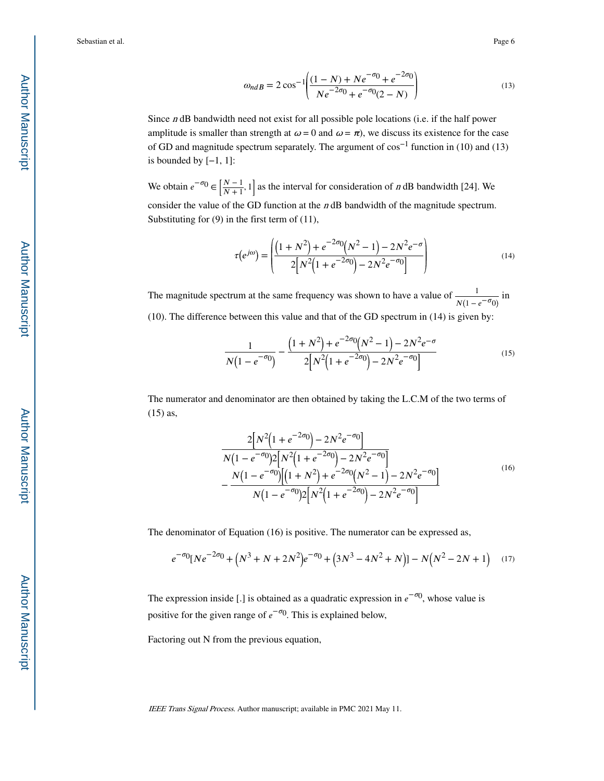$$
\omega_{ndB} = 2\cos^{-1}\left(\frac{(1-N) + Ne^{-\sigma_0} + e^{-2\sigma_0}}{Ne^{-2\sigma_0} + e^{-\sigma_0}(2-N)}\right)
$$
(13)

Since n dB bandwidth need not exist for all possible pole locations (i.e. if the half power amplitude is smaller than strength at  $\omega = 0$  and  $\omega = \pi$ ), we discuss its existence for the case of GD and magnitude spectrum separately. The argument of cos−1 function in (10) and (13) is bounded by  $[-1, 1]$ :

We obtain  $e^{-\sigma_0} \in \left[\frac{N-1}{N+1}, 1\right]$  as the interval for consideration of *n* dB bandwidth [24]. We consider the value of the GD function at the  $n$  dB bandwidth of the magnitude spectrum. Substituting for (9) in the first term of (11),

$$
\tau(e^{j\omega}) = \left( \frac{\left(1 + N^2\right) + e^{-2\sigma_0} \left(N^2 - 1\right) - 2N^2 e^{-\sigma}}{2\left[N^2 \left(1 + e^{-2\sigma_0}\right) - 2N^2 e^{-\sigma_0}\right]}\right) \tag{14}
$$

The magnitude spectrum at the same frequency was shown to have a value of  $\frac{1}{N(1 - e^{-\sigma_0})}$  in (10). The difference between this value and that of the GD spectrum in (14) is given by:

$$
\frac{1}{N(1 - e^{-\sigma_0})} - \frac{(1 + N^2) + e^{-2\sigma_0}(N^2 - 1) - 2N^2 e^{-\sigma_0}}{2[N^2(1 + e^{-2\sigma_0}) - 2N^2 e^{-\sigma_0}]} \tag{15}
$$

The numerator and denominator are then obtained by taking the L.C.M of the two terms of (15) as,

$$
\frac{2[N^{2}(1+e^{-2\sigma_{0}})-2N^{2}e^{-\sigma_{0}}]}{N(1-e^{-\sigma_{0}})2[N^{2}(1+e^{-2\sigma_{0}})-2N^{2}e^{-\sigma_{0}}]}
$$

$$
-\frac{N(1-e^{-\sigma_{0}})[(1+N^{2})+e^{-2\sigma_{0}}(N^{2}-1)-2N^{2}e^{-\sigma_{0}}]}{N(1-e^{-\sigma_{0}})2[N^{2}(1+e^{-2\sigma_{0}})-2N^{2}e^{-\sigma_{0}}]}
$$
(16)

The denominator of Equation (16) is positive. The numerator can be expressed as,

$$
e^{-\sigma_0}[Ne^{-2\sigma_0} + (N^3 + N + 2N^2)e^{-\sigma_0} + (3N^3 - 4N^2 + N)] - N(N^2 - 2N + 1)
$$
 (17)

The expression inside [.] is obtained as a quadratic expression in  $e^{-\sigma_0}$ , whose value is positive for the given range of  $e^{-\sigma_0}$ . This is explained below,

Factoring out N from the previous equation,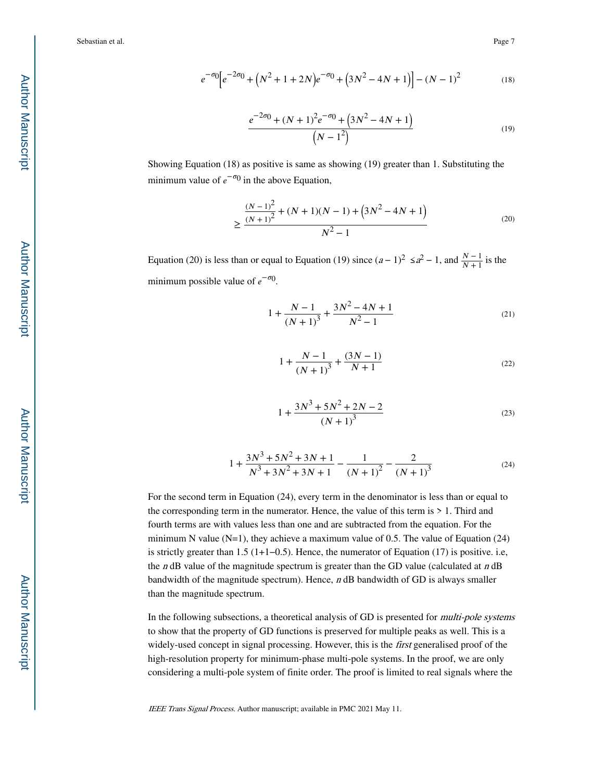$$
e^{-\sigma 0} \Big[ e^{-2\sigma 0} + \left( N^2 + 1 + 2N \right) e^{-\sigma 0} + \left( 3N^2 - 4N + 1 \right) \Big] - \left( N - 1 \right)^2 \tag{18}
$$

$$
\frac{e^{-2\sigma_0} + (N+1)^2 e^{-\sigma_0} + (3N^2 - 4N + 1)}{(N-1^2)}
$$
\n(19)

Showing Equation (18) as positive is same as showing (19) greater than 1. Substituting the minimum value of  $e^{-\sigma_0}$  in the above Equation,

$$
\geq \frac{\frac{(N-1)^2}{(N+1)^2} + (N+1)(N-1) + (3N^2 - 4N + 1)}{N^2 - 1}
$$
\n(20)

Equation (20) is less than or equal to Equation (19) since  $(a-1)^2 \le a^2 - 1$ , and  $\frac{N-1}{N+1}$  is the minimum possible value of  $e^{-\sigma_0}$ .

$$
1 + \frac{N-1}{(N+1)^3} + \frac{3N^2 - 4N + 1}{N^2 - 1}
$$
\n(21)

$$
1 + \frac{N-1}{(N+1)^3} + \frac{(3N-1)}{N+1}
$$
 (22)

$$
1 + \frac{3N^3 + 5N^2 + 2N - 2}{(N+1)^3}
$$
 (23)

$$
1 + \frac{3N^3 + 5N^2 + 3N + 1}{N^3 + 3N^2 + 3N + 1} - \frac{1}{(N+1)^2} - \frac{2}{(N+1)^3}
$$
(24)

For the second term in Equation (24), every term in the denominator is less than or equal to the corresponding term in the numerator. Hence, the value of this term is  $> 1$ . Third and fourth terms are with values less than one and are subtracted from the equation. For the minimum N value  $(N=1)$ , they achieve a maximum value of 0.5. The value of Equation (24) is strictly greater than 1.5 (1+1−0.5). Hence, the numerator of Equation (17) is positive. i.e, the *n* dB value of the magnitude spectrum is greater than the GD value (calculated at *n* dB bandwidth of the magnitude spectrum). Hence, n dB bandwidth of GD is always smaller than the magnitude spectrum.

In the following subsections, a theoretical analysis of GD is presented for multi-pole systems to show that the property of GD functions is preserved for multiple peaks as well. This is a widely-used concept in signal processing. However, this is the *first* generalised proof of the high-resolution property for minimum-phase multi-pole systems. In the proof, we are only considering a multi-pole system of finite order. The proof is limited to real signals where the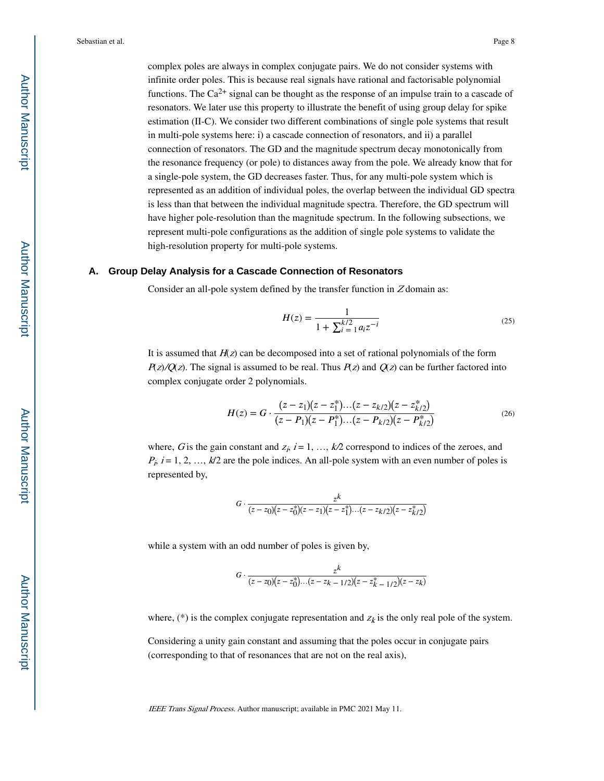complex poles are always in complex conjugate pairs. We do not consider systems with infinite order poles. This is because real signals have rational and factorisable polynomial functions. The Ca<sup>2+</sup> signal can be thought as the response of an impulse train to a cascade of resonators. We later use this property to illustrate the benefit of using group delay for spike estimation (II-C). We consider two different combinations of single pole systems that result in multi-pole systems here: i) a cascade connection of resonators, and ii) a parallel connection of resonators. The GD and the magnitude spectrum decay monotonically from the resonance frequency (or pole) to distances away from the pole. We already know that for a single-pole system, the GD decreases faster. Thus, for any multi-pole system which is represented as an addition of individual poles, the overlap between the individual GD spectra is less than that between the individual magnitude spectra. Therefore, the GD spectrum will have higher pole-resolution than the magnitude spectrum. In the following subsections, we represent multi-pole configurations as the addition of single pole systems to validate the high-resolution property for multi-pole systems.

#### **A. Group Delay Analysis for a Cascade Connection of Resonators**

Consider an all-pole system defined by the transfer function in  $Z$  domain as:

$$
H(z) = \frac{1}{1 + \sum_{i=1}^{k/2} a_i z^{-i}}
$$
 (25)

It is assumed that  $H(z)$  can be decomposed into a set of rational polynomials of the form  $P(z)/Q(z)$ . The signal is assumed to be real. Thus  $P(z)$  and  $Q(z)$  can be further factored into complex conjugate order 2 polynomials.

$$
H(z) = G \cdot \frac{(z - z_1)(z - z_1^*) \dots (z - z_{k/2})(z - z_{k/2}^*)}{(z - P_1)(z - P_1^*) \dots (z - P_{k/2})(z - P_{k/2}^*)}
$$
(26)

where, G is the gain constant and  $z_i$ ,  $i = 1, ..., k/2$  correspond to indices of the zeroes, and  $P_i$ ,  $i = 1, 2, ..., k/2$  are the pole indices. An all-pole system with an even number of poles is represented by,

$$
G \cdot \frac{z^k}{(z-z_0)(z-z_0^*)(z-z_1)(z-z_1^*)\dots(z-z_{k/2})(z-z_{k/2}^*)}
$$

while a system with an odd number of poles is given by,

$$
G \cdot \frac{z^k}{(z-z_0)(z-z_0^*)\dots(z-z_{k-1/2})(z-z_{k-1/2}^*)(z-z_k)}
$$

where, (\*) is the complex conjugate representation and  $z_k$  is the only real pole of the system.

Considering a unity gain constant and assuming that the poles occur in conjugate pairs (corresponding to that of resonances that are not on the real axis),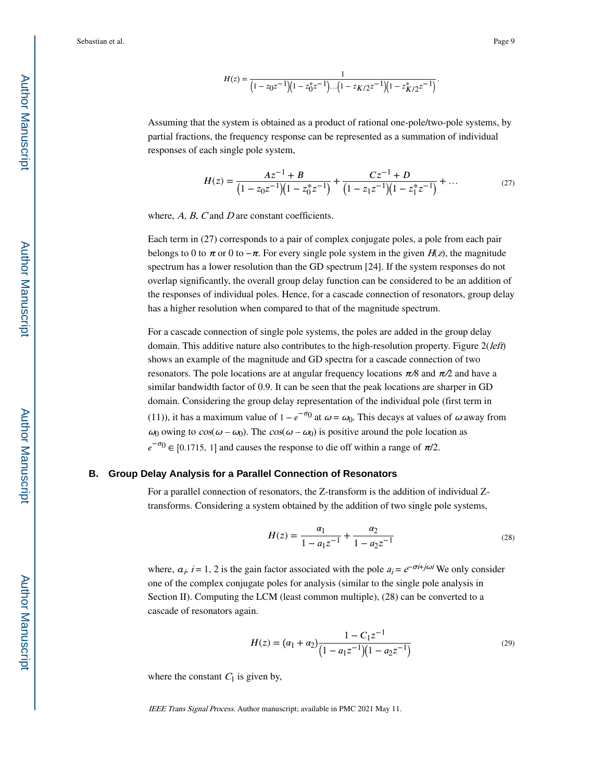$$
H(z) = \frac{1}{\left(1 - z_0 z^{-1}\right)\left(1 - z_0^* z^{-1}\right)\dots\left(1 - z_{K/2} z^{-1}\right)\left(1 - z_{K/2}^* z^{-1}\right)}.
$$

Assuming that the system is obtained as a product of rational one-pole/two-pole systems, by partial fractions, the frequency response can be represented as a summation of individual responses of each single pole system,

$$
H(z) = \frac{Az^{-1} + B}{\left(1 - z_0 z^{-1}\right)\left(1 - z_0^* z^{-1}\right)} + \frac{Cz^{-1} + D}{\left(1 - z_1 z^{-1}\right)\left(1 - z_1^* z^{-1}\right)} + \dots
$$
 (27)

where,  $A$ ,  $B$ ,  $C$  and  $D$  are constant coefficients.

Each term in (27) corresponds to a pair of complex conjugate poles, a pole from each pair belongs to 0 to  $\pi$  or 0 to  $-\pi$ . For every single pole system in the given  $H(z)$ , the magnitude spectrum has a lower resolution than the GD spectrum [24]. If the system responses do not overlap significantly, the overall group delay function can be considered to be an addition of the responses of individual poles. Hence, for a cascade connection of resonators, group delay has a higher resolution when compared to that of the magnitude spectrum.

For a cascade connection of single pole systems, the poles are added in the group delay domain. This additive nature also contributes to the high-resolution property. Figure  $2(left)$ shows an example of the magnitude and GD spectra for a cascade connection of two resonators. The pole locations are at angular frequency locations  $\pi/8$  and  $\pi/2$  and have a similar bandwidth factor of 0.9. It can be seen that the peak locations are sharper in GD domain. Considering the group delay representation of the individual pole (first term in (11)), it has a maximum value of  $1 - e^{-\sigma t}$  at  $\omega = \omega_0$ . This decays at values of  $\omega$  away from ω<sub>0</sub> owing to  $cos(ω - ω_0)$ . The  $cos(ω - ω_0)$  is positive around the pole location as  $e^{-\sigma_0} \in [0.1715, 1]$  and causes the response to die off within a range of  $\pi/2$ .

#### **B. Group Delay Analysis for a Parallel Connection of Resonators**

For a parallel connection of resonators, the Z-transform is the addition of individual Ztransforms. Considering a system obtained by the addition of two single pole systems,

$$
H(z) = \frac{\alpha_1}{1 - a_1 z^{-1}} + \frac{\alpha_2}{1 - a_2 z^{-1}}
$$
 (28)

where,  $a_j$ , i = 1, 2 is the gain factor associated with the pole  $a_i = e^{-\sigma i + j\omega i}$  We only consider one of the complex conjugate poles for analysis (similar to the single pole analysis in Section II). Computing the LCM (least common multiple), (28) can be converted to a cascade of resonators again.

$$
H(z) = (\alpha_1 + \alpha_2) \frac{1 - C_1 z^{-1}}{(1 - a_1 z^{-1})(1 - a_2 z^{-1})}
$$
\n(29)

where the constant  $C_1$  is given by,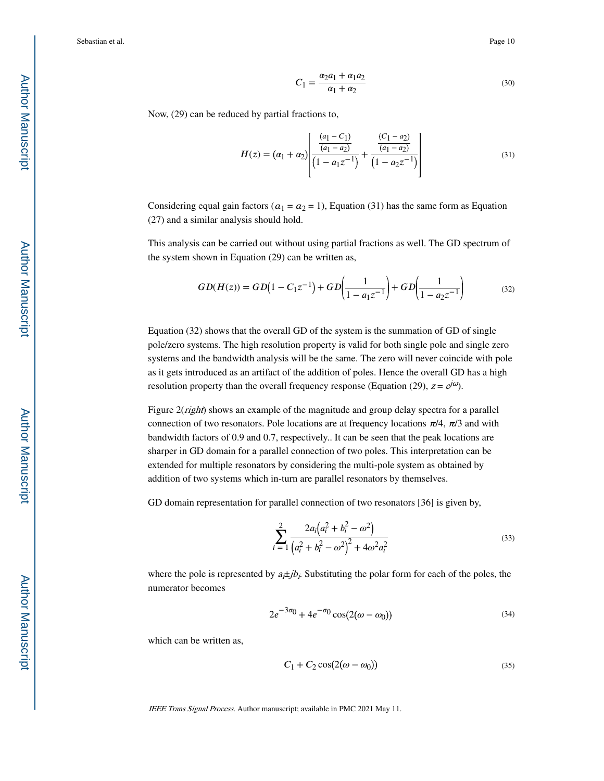$$
C_1 = \frac{\alpha_2 a_1 + \alpha_1 a_2}{\alpha_1 + \alpha_2} \tag{30}
$$

Now, (29) can be reduced by partial fractions to,

$$
H(z) = (\alpha_1 + \alpha_2) \left[ \frac{\frac{(a_1 - C_1)}{(a_1 - a_2)}}{\left(1 - a_1 z^{-1}\right)} + \frac{\frac{(C_1 - a_2)}{(a_1 - a_2)}}{\left(1 - a_2 z^{-1}\right)} \right]
$$
(31)

Considering equal gain factors ( $a_1 = a_2 = 1$ ), Equation (31) has the same form as Equation (27) and a similar analysis should hold.

This analysis can be carried out without using partial fractions as well. The GD spectrum of the system shown in Equation (29) can be written as,

$$
GD(H(z)) = GD(1 - C_1 z^{-1}) + GD\left(\frac{1}{1 - a_1 z^{-1}}\right) + GD\left(\frac{1}{1 - a_2 z^{-1}}\right)
$$
(32)

Equation (32) shows that the overall GD of the system is the summation of GD of single pole/zero systems. The high resolution property is valid for both single pole and single zero systems and the bandwidth analysis will be the same. The zero will never coincide with pole as it gets introduced as an artifact of the addition of poles. Hence the overall GD has a high resolution property than the overall frequency response (Equation (29),  $z = e^{j\omega}$ ).

Figure 2(*right*) shows an example of the magnitude and group delay spectra for a parallel connection of two resonators. Pole locations are at frequency locations  $\pi/4$ ,  $\pi/3$  and with bandwidth factors of 0.9 and 0.7, respectively.. It can be seen that the peak locations are sharper in GD domain for a parallel connection of two poles. This interpretation can be extended for multiple resonators by considering the multi-pole system as obtained by addition of two systems which in-turn are parallel resonators by themselves.

GD domain representation for parallel connection of two resonators [36] is given by,

$$
\sum_{i=1}^{2} \frac{2a_i(a_i^2 + b_i^2 - \omega^2)}{(a_i^2 + b_i^2 - \omega^2)^2 + 4\omega^2 a_i^2}
$$
\n(33)

where the pole is represented by  $a_i \neq j b_j$ . Substituting the polar form for each of the poles, the numerator becomes

$$
2e^{-3\sigma_0} + 4e^{-\sigma_0}\cos(2(\omega - \omega_0))\tag{34}
$$

which can be written as,

$$
C_1 + C_2 \cos(2(\omega - \omega_0))
$$
\n(35)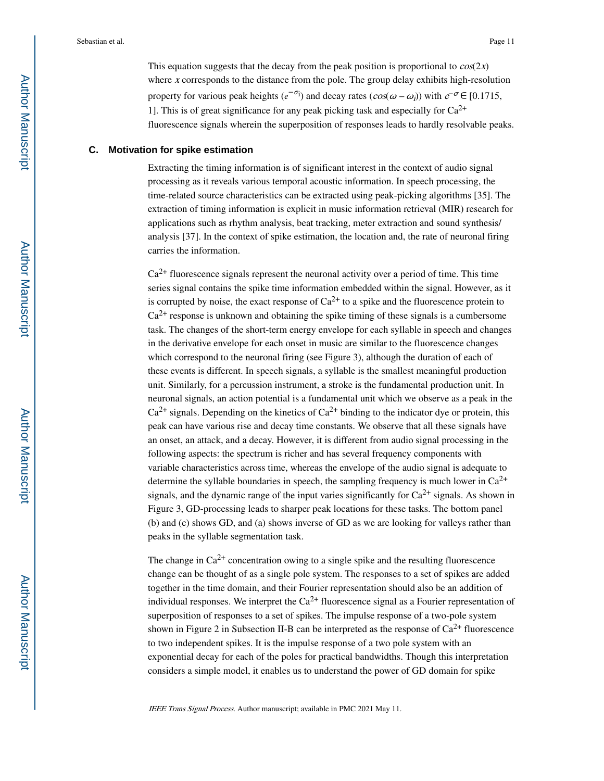This equation suggests that the decay from the peak position is proportional to  $cos(2x)$ where *x* corresponds to the distance from the pole. The group delay exhibits high-resolution property for various peak heights  $(e^{-\sigma_i})$  and decay rates  $(cos(\omega - \omega_i))$  with  $e^{-\sigma} \in [0.1715]$ , 1]. This is of great significance for any peak picking task and especially for  $Ca^{2+}$ fluorescence signals wherein the superposition of responses leads to hardly resolvable peaks.

#### **C. Motivation for spike estimation**

Extracting the timing information is of significant interest in the context of audio signal processing as it reveals various temporal acoustic information. In speech processing, the time-related source characteristics can be extracted using peak-picking algorithms [35]. The extraction of timing information is explicit in music information retrieval (MIR) research for applications such as rhythm analysis, beat tracking, meter extraction and sound synthesis/ analysis [37]. In the context of spike estimation, the location and, the rate of neuronal firing carries the information.

 $Ca<sup>2+</sup>$  fluorescence signals represent the neuronal activity over a period of time. This time series signal contains the spike time information embedded within the signal. However, as it is corrupted by noise, the exact response of  $Ca^{2+}$  to a spike and the fluorescence protein to  $Ca<sup>2+</sup>$  response is unknown and obtaining the spike timing of these signals is a cumbersome task. The changes of the short-term energy envelope for each syllable in speech and changes in the derivative envelope for each onset in music are similar to the fluorescence changes which correspond to the neuronal firing (see Figure 3), although the duration of each of these events is different. In speech signals, a syllable is the smallest meaningful production unit. Similarly, for a percussion instrument, a stroke is the fundamental production unit. In neuronal signals, an action potential is a fundamental unit which we observe as a peak in the  $Ca<sup>2+</sup>$  signals. Depending on the kinetics of  $Ca<sup>2+</sup>$  binding to the indicator dye or protein, this peak can have various rise and decay time constants. We observe that all these signals have an onset, an attack, and a decay. However, it is different from audio signal processing in the following aspects: the spectrum is richer and has several frequency components with variable characteristics across time, whereas the envelope of the audio signal is adequate to determine the syllable boundaries in speech, the sampling frequency is much lower in  $Ca^{2+}$ signals, and the dynamic range of the input varies significantly for  $Ca^{2+}$  signals. As shown in Figure 3, GD-processing leads to sharper peak locations for these tasks. The bottom panel (b) and (c) shows GD, and (a) shows inverse of GD as we are looking for valleys rather than peaks in the syllable segmentation task.

The change in  $Ca^{2+}$  concentration owing to a single spike and the resulting fluorescence change can be thought of as a single pole system. The responses to a set of spikes are added together in the time domain, and their Fourier representation should also be an addition of individual responses. We interpret the  $Ca^{2+}$  fluorescence signal as a Fourier representation of superposition of responses to a set of spikes. The impulse response of a two-pole system shown in Figure 2 in Subsection II-B can be interpreted as the response of  $Ca^{2+}$  fluorescence to two independent spikes. It is the impulse response of a two pole system with an exponential decay for each of the poles for practical bandwidths. Though this interpretation considers a simple model, it enables us to understand the power of GD domain for spike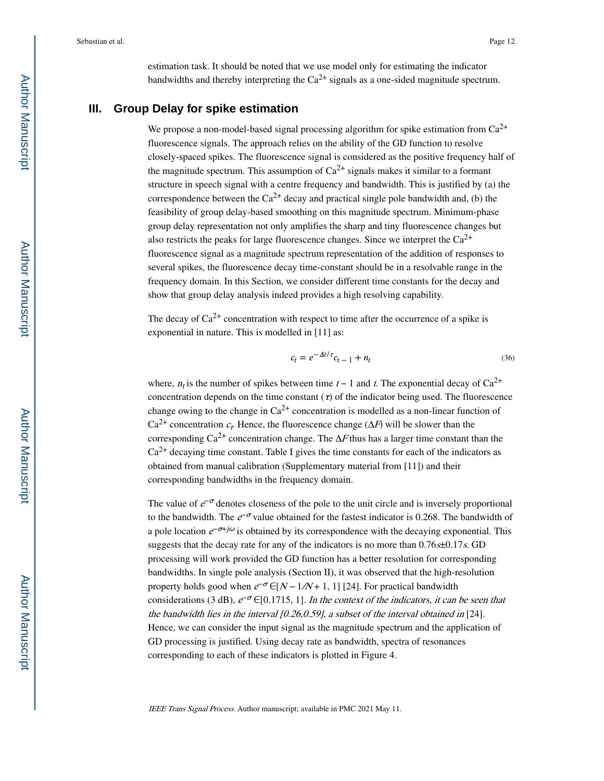estimation task. It should be noted that we use model only for estimating the indicator bandwidths and thereby interpreting the  $Ca^{2+}$  signals as a one-sided magnitude spectrum.

# **III. Group Delay for spike estimation**

We propose a non-model-based signal processing algorithm for spike estimation from Ca<sup>2+</sup> fluorescence signals. The approach relies on the ability of the GD function to resolve closely-spaced spikes. The fluorescence signal is considered as the positive frequency half of the magnitude spectrum. This assumption of  $Ca^{2+}$  signals makes it similar to a formant structure in speech signal with a centre frequency and bandwidth. This is justified by (a) the correspondence between the  $Ca^{2+}$  decay and practical single pole bandwidth and, (b) the feasibility of group delay-based smoothing on this magnitude spectrum. Minimum-phase group delay representation not only amplifies the sharp and tiny fluorescence changes but also restricts the peaks for large fluorescence changes. Since we interpret the  $Ca^{2+}$ fluorescence signal as a magnitude spectrum representation of the addition of responses to several spikes, the fluorescence decay time-constant should be in a resolvable range in the frequency domain. In this Section, we consider different time constants for the decay and show that group delay analysis indeed provides a high resolving capability.

The decay of  $Ca^{2+}$  concentration with respect to time after the occurrence of a spike is exponential in nature. This is modelled in [11] as:

$$
c_t = e^{-\Delta t/\tau} c_{t-1} + n_t
$$
\n(36)

where,  $n_t$  is the number of spikes between time  $t-1$  and t. The exponential decay of Ca<sup>2+</sup> concentration depends on the time constant  $\tau$  of the indicator being used. The fluorescence change owing to the change in  $Ca^{2+}$  concentration is modelled as a non-linear function of  $Ca^{2+}$  concentration  $c_t$ . Hence, the fluorescence change ( $\Delta F$ ) will be slower than the corresponding Ca<sup>2+</sup> concentration change. The  $\Delta F$  thus has a larger time constant than the  $Ca<sup>2+</sup>$  decaying time constant. Table I gives the time constants for each of the indicators as obtained from manual calibration (Supplementary material from [11]) and their corresponding bandwidths in the frequency domain.

The value of  $e^{-\sigma}$  denotes closeness of the pole to the unit circle and is inversely proportional to the bandwidth. The  $e^{-\sigma}$  value obtained for the fastest indicator is 0.268. The bandwidth of a pole location  $e^{-\sigma t j\omega}$  is obtained by its correspondence with the decaying exponential. This suggests that the decay rate for any of the indicators is no more than  $0.76 \pm 0.17 s$ . GD processing will work provided the GD function has a better resolution for corresponding bandwidths. In single pole analysis (Section II), it was observed that the high-resolution property holds good when  $e^{-\sigma} \in [N - 1/N + 1, 1]$  [24]. For practical bandwidth considerations (3 dB),  $e^{-\sigma} \in [0.1715, 1]$ . In the context of the indicators, it can be seen that the bandwidth lies in the interval  $[0.26, 0.59]$ , a subset of the interval obtained in [24]. Hence, we can consider the input signal as the magnitude spectrum and the application of GD processing is justified. Using decay rate as bandwidth, spectra of resonances corresponding to each of these indicators is plotted in Figure 4.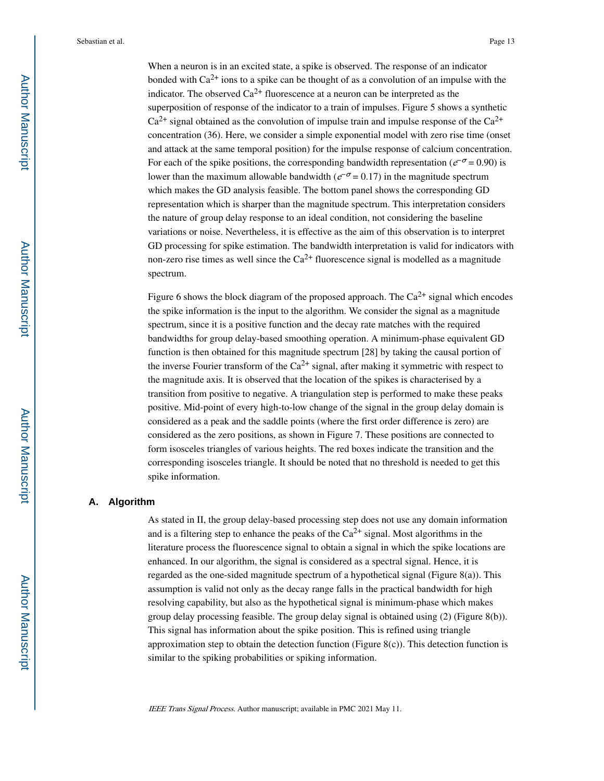When a neuron is in an excited state, a spike is observed. The response of an indicator bonded with  $Ca^{2+}$  ions to a spike can be thought of as a convolution of an impulse with the indicator. The observed  $Ca^{2+}$  fluorescence at a neuron can be interpreted as the superposition of response of the indicator to a train of impulses. Figure 5 shows a synthetic  $Ca^{2+}$  signal obtained as the convolution of impulse train and impulse response of the  $Ca^{2+}$ concentration (36). Here, we consider a simple exponential model with zero rise time (onset and attack at the same temporal position) for the impulse response of calcium concentration. For each of the spike positions, the corresponding bandwidth representation ( $e^{-\sigma}$  = 0.90) is lower than the maximum allowable bandwidth ( $e^{-\sigma}$  = 0.17) in the magnitude spectrum which makes the GD analysis feasible. The bottom panel shows the corresponding GD representation which is sharper than the magnitude spectrum. This interpretation considers the nature of group delay response to an ideal condition, not considering the baseline variations or noise. Nevertheless, it is effective as the aim of this observation is to interpret GD processing for spike estimation. The bandwidth interpretation is valid for indicators with non-zero rise times as well since the  $Ca^{2+}$  fluorescence signal is modelled as a magnitude spectrum.

Figure 6 shows the block diagram of the proposed approach. The  $Ca^{2+}$  signal which encodes the spike information is the input to the algorithm. We consider the signal as a magnitude spectrum, since it is a positive function and the decay rate matches with the required bandwidths for group delay-based smoothing operation. A minimum-phase equivalent GD function is then obtained for this magnitude spectrum [28] by taking the causal portion of the inverse Fourier transform of the  $Ca<sup>2+</sup>$  signal, after making it symmetric with respect to the magnitude axis. It is observed that the location of the spikes is characterised by a transition from positive to negative. A triangulation step is performed to make these peaks positive. Mid-point of every high-to-low change of the signal in the group delay domain is considered as a peak and the saddle points (where the first order difference is zero) are considered as the zero positions, as shown in Figure 7. These positions are connected to form isosceles triangles of various heights. The red boxes indicate the transition and the corresponding isosceles triangle. It should be noted that no threshold is needed to get this spike information.

# **A. Algorithm**

As stated in II, the group delay-based processing step does not use any domain information and is a filtering step to enhance the peaks of the  $Ca^{2+}$  signal. Most algorithms in the literature process the fluorescence signal to obtain a signal in which the spike locations are enhanced. In our algorithm, the signal is considered as a spectral signal. Hence, it is regarded as the one-sided magnitude spectrum of a hypothetical signal (Figure 8(a)). This assumption is valid not only as the decay range falls in the practical bandwidth for high resolving capability, but also as the hypothetical signal is minimum-phase which makes group delay processing feasible. The group delay signal is obtained using (2) (Figure 8(b)). This signal has information about the spike position. This is refined using triangle approximation step to obtain the detection function (Figure 8(c)). This detection function is similar to the spiking probabilities or spiking information.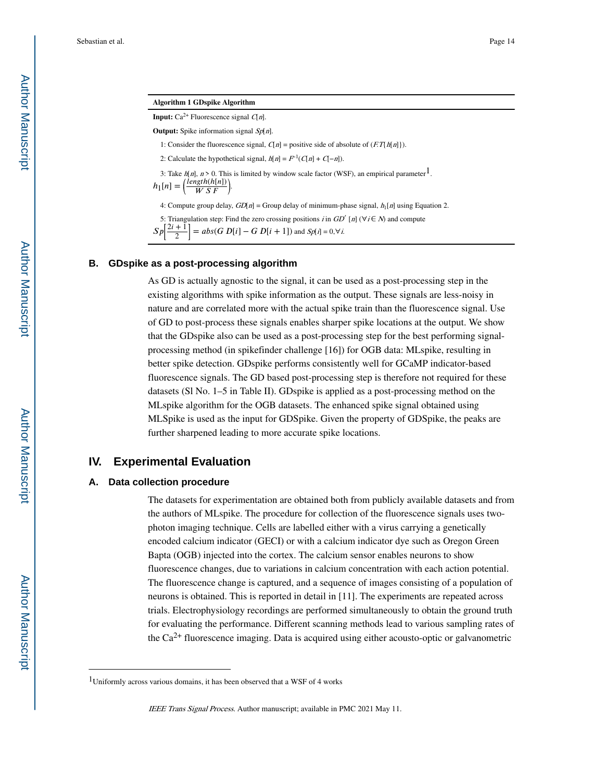|  |  |  | <b>Algorithm 1 GDspike Algorithm</b> |
|--|--|--|--------------------------------------|
|--|--|--|--------------------------------------|

**Input:** Ca<sup>2+</sup> Fluorescence signal  $C[n]$ .

**Output:** Spike information signal Sp[n].

1: Consider the fluorescence signal,  $C[n]$  = positive side of absolute of  $(ET\{h[n]\})$ .

2: Calculate the hypothetical signal,  $h[n] = F^{-1}(C[n] + C[-n])$ .

3: Take  $h[n]$ ,  $n > 0$ . This is limited by window scale factor (WSF), an empirical parameter<sup>1</sup>.

 $h_1[n] = \left(\frac{length(h[n])}{W S F}\right).$ 

4: Compute group delay,  $GD[n]$  = Group delay of minimum-phase signal,  $h_1[n]$  using Equation 2.

5: Triangulation step: Find the zero crossing positions i in  $GD'$  [n] ( $\forall i \in \mathbb{N}$ ) and compute

 $Sp$ 2  $= abs(G D[i] - G D[i + 1])$  and  $Sp[i] = 0, \forall i$ .

#### **B. GDspike as a post-processing algorithm**

As GD is actually agnostic to the signal, it can be used as a post-processing step in the existing algorithms with spike information as the output. These signals are less-noisy in nature and are correlated more with the actual spike train than the fluorescence signal. Use of GD to post-process these signals enables sharper spike locations at the output. We show that the GDspike also can be used as a post-processing step for the best performing signalprocessing method (in spikefinder challenge [16]) for OGB data: MLspike, resulting in better spike detection. GDspike performs consistently well for GCaMP indicator-based fluorescence signals. The GD based post-processing step is therefore not required for these datasets (Sl No. 1–5 in Table II). GDspike is applied as a post-processing method on the MLspike algorithm for the OGB datasets. The enhanced spike signal obtained using MLSpike is used as the input for GDSpike. Given the property of GDSpike, the peaks are further sharpened leading to more accurate spike locations.

# **IV. Experimental Evaluation**

#### **A. Data collection procedure**

The datasets for experimentation are obtained both from publicly available datasets and from the authors of MLspike. The procedure for collection of the fluorescence signals uses twophoton imaging technique. Cells are labelled either with a virus carrying a genetically encoded calcium indicator (GECI) or with a calcium indicator dye such as Oregon Green Bapta (OGB) injected into the cortex. The calcium sensor enables neurons to show fluorescence changes, due to variations in calcium concentration with each action potential. The fluorescence change is captured, and a sequence of images consisting of a population of neurons is obtained. This is reported in detail in [11]. The experiments are repeated across trials. Electrophysiology recordings are performed simultaneously to obtain the ground truth for evaluating the performance. Different scanning methods lead to various sampling rates of the  $Ca^{2+}$  fluorescence imaging. Data is acquired using either acousto-optic or galvanometric

<sup>&</sup>lt;sup>1</sup>Uniformly across various domains, it has been observed that a WSF of 4 works

IEEE Trans Signal Process. Author manuscript; available in PMC 2021 May 11.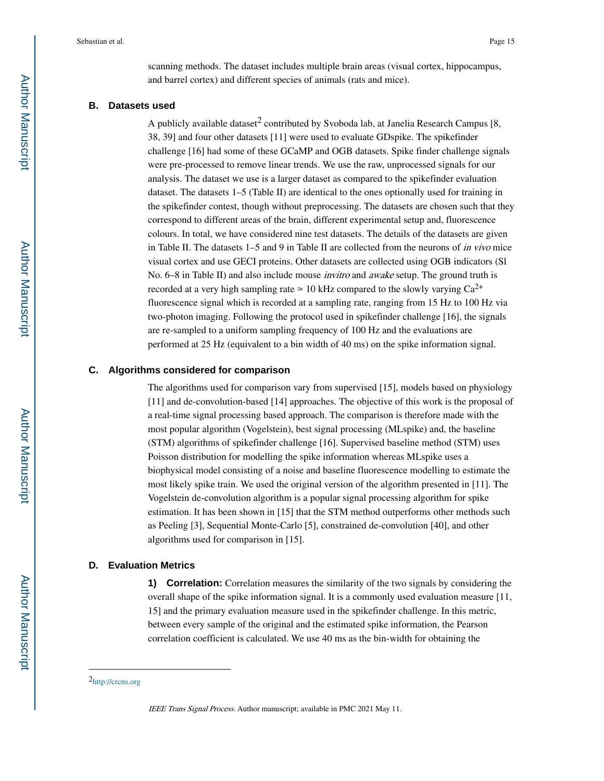scanning methods. The dataset includes multiple brain areas (visual cortex, hippocampus, and barrel cortex) and different species of animals (rats and mice).

#### **B. Datasets used**

A publicly available dataset<sup>2</sup> contributed by Svoboda lab, at Janelia Research Campus [8, 38, 39] and four other datasets [11] were used to evaluate GDspike. The spikefinder challenge [16] had some of these GCaMP and OGB datasets. Spike finder challenge signals were pre-processed to remove linear trends. We use the raw, unprocessed signals for our analysis. The dataset we use is a larger dataset as compared to the spikefinder evaluation dataset. The datasets 1–5 (Table II) are identical to the ones optionally used for training in the spikefinder contest, though without preprocessing. The datasets are chosen such that they correspond to different areas of the brain, different experimental setup and, fluorescence colours. In total, we have considered nine test datasets. The details of the datasets are given in Table II. The datasets 1–5 and 9 in Table II are collected from the neurons of in vivo mice visual cortex and use GECI proteins. Other datasets are collected using OGB indicators (Sl No. 6–8 in Table II) and also include mouse *invitro* and *awake* setup. The ground truth is recorded at a very high sampling rate  $\simeq 10$  kHz compared to the slowly varying Ca<sup>2+</sup> fluorescence signal which is recorded at a sampling rate, ranging from 15 Hz to 100 Hz via two-photon imaging. Following the protocol used in spikefinder challenge [16], the signals are re-sampled to a uniform sampling frequency of 100 Hz and the evaluations are performed at 25 Hz (equivalent to a bin width of 40 ms) on the spike information signal.

#### **C. Algorithms considered for comparison**

The algorithms used for comparison vary from supervised [15], models based on physiology [11] and de-convolution-based [14] approaches. The objective of this work is the proposal of a real-time signal processing based approach. The comparison is therefore made with the most popular algorithm (Vogelstein), best signal processing (MLspike) and, the baseline (STM) algorithms of spikefinder challenge [16]. Supervised baseline method (STM) uses Poisson distribution for modelling the spike information whereas MLspike uses a biophysical model consisting of a noise and baseline fluorescence modelling to estimate the most likely spike train. We used the original version of the algorithm presented in [11]. The Vogelstein de-convolution algorithm is a popular signal processing algorithm for spike estimation. It has been shown in [15] that the STM method outperforms other methods such as Peeling [3], Sequential Monte-Carlo [5], constrained de-convolution [40], and other algorithms used for comparison in [15].

#### **D. Evaluation Metrics**

**1) Correlation:** Correlation measures the similarity of the two signals by considering the overall shape of the spike information signal. It is a commonly used evaluation measure [11, 15] and the primary evaluation measure used in the spikefinder challenge. In this metric, between every sample of the original and the estimated spike information, the Pearson correlation coefficient is calculated. We use 40 ms as the bin-width for obtaining the

<sup>2</sup>http://crcns.org

IEEE Trans Signal Process. Author manuscript; available in PMC 2021 May 11.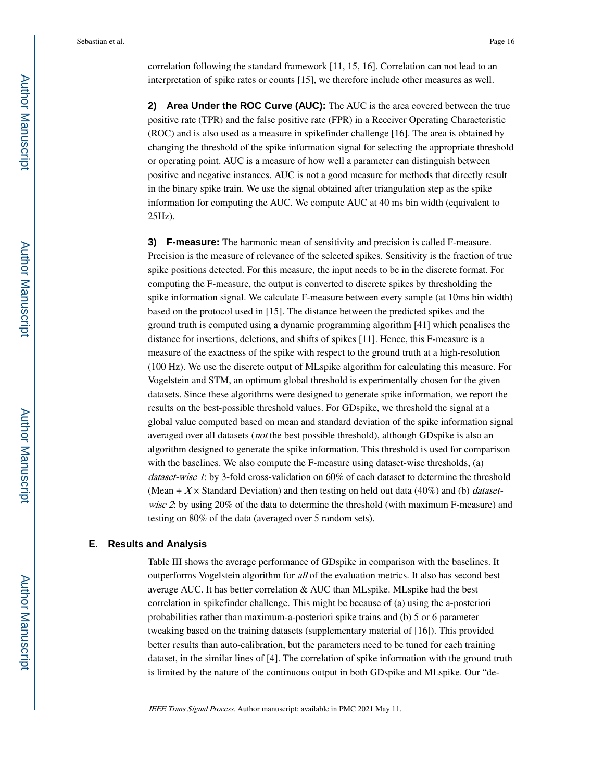correlation following the standard framework [11, 15, 16]. Correlation can not lead to an interpretation of spike rates or counts [15], we therefore include other measures as well.

**2) Area Under the ROC Curve (AUC):** The AUC is the area covered between the true positive rate (TPR) and the false positive rate (FPR) in a Receiver Operating Characteristic (ROC) and is also used as a measure in spikefinder challenge [16]. The area is obtained by changing the threshold of the spike information signal for selecting the appropriate threshold or operating point. AUC is a measure of how well a parameter can distinguish between positive and negative instances. AUC is not a good measure for methods that directly result in the binary spike train. We use the signal obtained after triangulation step as the spike information for computing the AUC. We compute AUC at 40 ms bin width (equivalent to 25Hz).

**3) F-measure:** The harmonic mean of sensitivity and precision is called F-measure. Precision is the measure of relevance of the selected spikes. Sensitivity is the fraction of true spike positions detected. For this measure, the input needs to be in the discrete format. For computing the F-measure, the output is converted to discrete spikes by thresholding the spike information signal. We calculate F-measure between every sample (at 10ms bin width) based on the protocol used in [15]. The distance between the predicted spikes and the ground truth is computed using a dynamic programming algorithm [41] which penalises the distance for insertions, deletions, and shifts of spikes [11]. Hence, this F-measure is a measure of the exactness of the spike with respect to the ground truth at a high-resolution (100 Hz). We use the discrete output of MLspike algorithm for calculating this measure. For Vogelstein and STM, an optimum global threshold is experimentally chosen for the given datasets. Since these algorithms were designed to generate spike information, we report the results on the best-possible threshold values. For GDspike, we threshold the signal at a global value computed based on mean and standard deviation of the spike information signal averaged over all datasets (*not* the best possible threshold), although GDspike is also an algorithm designed to generate the spike information. This threshold is used for comparison with the baselines. We also compute the F-measure using dataset-wise thresholds, (a) dataset-wise 1: by 3-fold cross-validation on 60% of each dataset to determine the threshold (Mean +  $X \times$  Standard Deviation) and then testing on held out data (40%) and (b) *dataset*wise 2: by using 20% of the data to determine the threshold (with maximum F-measure) and testing on 80% of the data (averaged over 5 random sets).

#### **E. Results and Analysis**

Table III shows the average performance of GDspike in comparison with the baselines. It outperforms Vogelstein algorithm for all of the evaluation metrics. It also has second best average AUC. It has better correlation & AUC than MLspike. MLspike had the best correlation in spikefinder challenge. This might be because of (a) using the a-posteriori probabilities rather than maximum-a-posteriori spike trains and (b) 5 or 6 parameter tweaking based on the training datasets (supplementary material of [16]). This provided better results than auto-calibration, but the parameters need to be tuned for each training dataset, in the similar lines of [4]. The correlation of spike information with the ground truth is limited by the nature of the continuous output in both GDspike and MLspike. Our "de-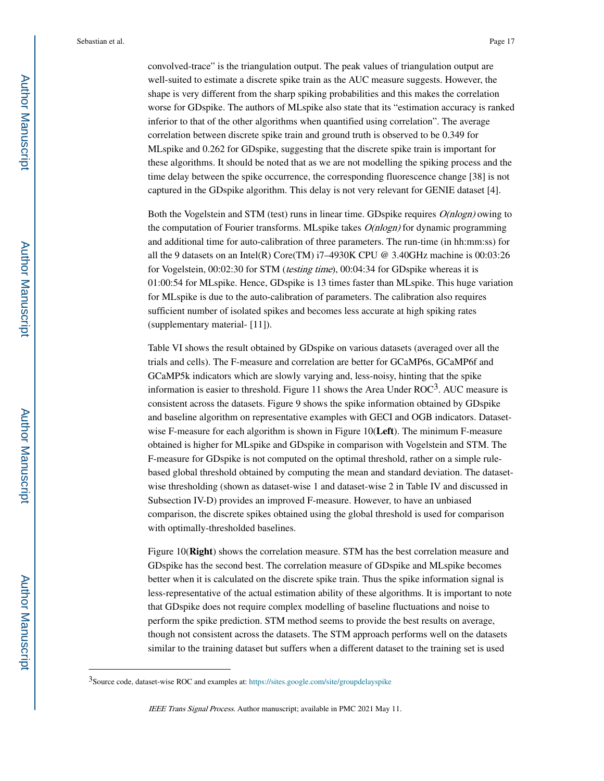convolved-trace" is the triangulation output. The peak values of triangulation output are well-suited to estimate a discrete spike train as the AUC measure suggests. However, the shape is very different from the sharp spiking probabilities and this makes the correlation worse for GDspike. The authors of MLspike also state that its "estimation accuracy is ranked inferior to that of the other algorithms when quantified using correlation". The average correlation between discrete spike train and ground truth is observed to be 0.349 for MLspike and 0.262 for GDspike, suggesting that the discrete spike train is important for these algorithms. It should be noted that as we are not modelling the spiking process and the time delay between the spike occurrence, the corresponding fluorescence change [38] is not captured in the GDspike algorithm. This delay is not very relevant for GENIE dataset [4].

Both the Vogelstein and STM (test) runs in linear time. GDspike requires  $O(n \log n)$  owing to the computation of Fourier transforms. MLspike takes  $O(nlog n)$  for dynamic programming and additional time for auto-calibration of three parameters. The run-time (in hh:mm:ss) for all the 9 datasets on an Intel(R) Core(TM) i7–4930K CPU @ 3.40GHz machine is 00:03:26 for Vogelstein, 00:02:30 for STM (*testing time*), 00:04:34 for GDspike whereas it is 01:00:54 for MLspike. Hence, GDspike is 13 times faster than MLspike. This huge variation for MLspike is due to the auto-calibration of parameters. The calibration also requires sufficient number of isolated spikes and becomes less accurate at high spiking rates (supplementary material- [11]).

Table VI shows the result obtained by GDspike on various datasets (averaged over all the trials and cells). The F-measure and correlation are better for GCaMP6s, GCaMP6f and GCaMP5k indicators which are slowly varying and, less-noisy, hinting that the spike information is easier to threshold. Figure 11 shows the Area Under  $ROC<sup>3</sup>$ . AUC measure is consistent across the datasets. Figure 9 shows the spike information obtained by GDspike and baseline algorithm on representative examples with GECI and OGB indicators. Datasetwise F-measure for each algorithm is shown in Figure 10(**Left**). The minimum F-measure obtained is higher for MLspike and GDspike in comparison with Vogelstein and STM. The F-measure for GDspike is not computed on the optimal threshold, rather on a simple rulebased global threshold obtained by computing the mean and standard deviation. The datasetwise thresholding (shown as dataset-wise 1 and dataset-wise 2 in Table IV and discussed in Subsection IV-D) provides an improved F-measure. However, to have an unbiased comparison, the discrete spikes obtained using the global threshold is used for comparison with optimally-thresholded baselines.

Figure 10(**Right**) shows the correlation measure. STM has the best correlation measure and GDspike has the second best. The correlation measure of GDspike and MLspike becomes better when it is calculated on the discrete spike train. Thus the spike information signal is less-representative of the actual estimation ability of these algorithms. It is important to note that GDspike does not require complex modelling of baseline fluctuations and noise to perform the spike prediction. STM method seems to provide the best results on average, though not consistent across the datasets. The STM approach performs well on the datasets similar to the training dataset but suffers when a different dataset to the training set is used

<sup>3</sup>Source code, dataset-wise ROC and examples at: https://sites.google.com/site/groupdelayspike

IEEE Trans Signal Process. Author manuscript; available in PMC 2021 May 11.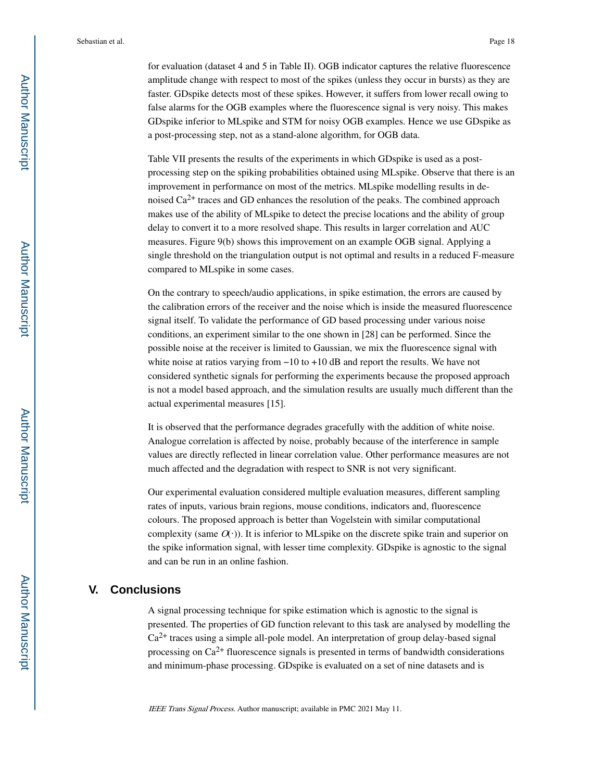for evaluation (dataset 4 and 5 in Table II). OGB indicator captures the relative fluorescence amplitude change with respect to most of the spikes (unless they occur in bursts) as they are faster. GDspike detects most of these spikes. However, it suffers from lower recall owing to false alarms for the OGB examples where the fluorescence signal is very noisy. This makes GDspike inferior to MLspike and STM for noisy OGB examples. Hence we use GDspike as a post-processing step, not as a stand-alone algorithm, for OGB data.

Table VII presents the results of the experiments in which GDspike is used as a postprocessing step on the spiking probabilities obtained using MLspike. Observe that there is an improvement in performance on most of the metrics. MLspike modelling results in denoised  $Ca^{2+}$  traces and GD enhances the resolution of the peaks. The combined approach makes use of the ability of MLspike to detect the precise locations and the ability of group delay to convert it to a more resolved shape. This results in larger correlation and AUC measures. Figure 9(b) shows this improvement on an example OGB signal. Applying a single threshold on the triangulation output is not optimal and results in a reduced F-measure compared to MLspike in some cases.

On the contrary to speech/audio applications, in spike estimation, the errors are caused by the calibration errors of the receiver and the noise which is inside the measured fluorescence signal itself. To validate the performance of GD based processing under various noise conditions, an experiment similar to the one shown in [28] can be performed. Since the possible noise at the receiver is limited to Gaussian, we mix the fluorescence signal with white noise at ratios varying from −10 to +10 dB and report the results. We have not considered synthetic signals for performing the experiments because the proposed approach is not a model based approach, and the simulation results are usually much different than the actual experimental measures [15].

It is observed that the performance degrades gracefully with the addition of white noise. Analogue correlation is affected by noise, probably because of the interference in sample values are directly reflected in linear correlation value. Other performance measures are not much affected and the degradation with respect to SNR is not very significant.

Our experimental evaluation considered multiple evaluation measures, different sampling rates of inputs, various brain regions, mouse conditions, indicators and, fluorescence colours. The proposed approach is better than Vogelstein with similar computational complexity (same  $O(·)$ ). It is inferior to MLspike on the discrete spike train and superior on the spike information signal, with lesser time complexity. GDspike is agnostic to the signal and can be run in an online fashion.

# **V. Conclusions**

A signal processing technique for spike estimation which is agnostic to the signal is presented. The properties of GD function relevant to this task are analysed by modelling the  $Ca<sup>2+</sup>$  traces using a simple all-pole model. An interpretation of group delay-based signal processing on  $Ca^{2+}$  fluorescence signals is presented in terms of bandwidth considerations and minimum-phase processing. GDspike is evaluated on a set of nine datasets and is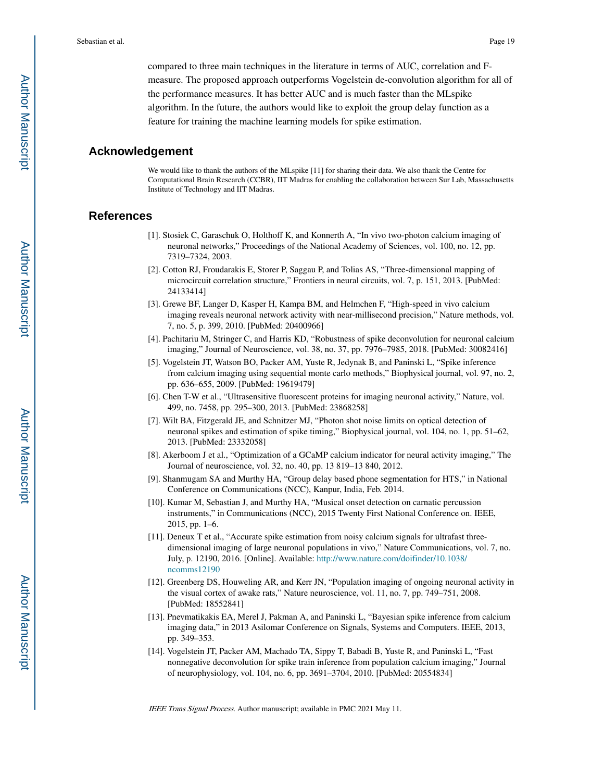compared to three main techniques in the literature in terms of AUC, correlation and Fmeasure. The proposed approach outperforms Vogelstein de-convolution algorithm for all of the performance measures. It has better AUC and is much faster than the MLspike algorithm. In the future, the authors would like to exploit the group delay function as a feature for training the machine learning models for spike estimation.

# **Acknowledgement**

We would like to thank the authors of the MLspike [11] for sharing their data. We also thank the Centre for Computational Brain Research (CCBR), IIT Madras for enabling the collaboration between Sur Lab, Massachusetts Institute of Technology and IIT Madras.

# **References**

- [1]. Stosiek C, Garaschuk O, Holthoff K, and Konnerth A, "In vivo two-photon calcium imaging of neuronal networks," Proceedings of the National Academy of Sciences, vol. 100, no. 12, pp. 7319–7324, 2003.
- [2]. Cotton RJ, Froudarakis E, Storer P, Saggau P, and Tolias AS, "Three-dimensional mapping of microcircuit correlation structure," Frontiers in neural circuits, vol. 7, p. 151, 2013. [PubMed: 24133414]
- [3]. Grewe BF, Langer D, Kasper H, Kampa BM, and Helmchen F, "High-speed in vivo calcium imaging reveals neuronal network activity with near-millisecond precision," Nature methods, vol. 7, no. 5, p. 399, 2010. [PubMed: 20400966]
- [4]. Pachitariu M, Stringer C, and Harris KD, "Robustness of spike deconvolution for neuronal calcium imaging," Journal of Neuroscience, vol. 38, no. 37, pp. 7976–7985, 2018. [PubMed: 30082416]
- [5]. Vogelstein JT, Watson BO, Packer AM, Yuste R, Jedynak B, and Paninski L, "Spike inference from calcium imaging using sequential monte carlo methods," Biophysical journal, vol. 97, no. 2, pp. 636–655, 2009. [PubMed: 19619479]
- [6]. Chen T-W et al., "Ultrasensitive fluorescent proteins for imaging neuronal activity," Nature, vol. 499, no. 7458, pp. 295–300, 2013. [PubMed: 23868258]
- [7]. Wilt BA, Fitzgerald JE, and Schnitzer MJ, "Photon shot noise limits on optical detection of neuronal spikes and estimation of spike timing," Biophysical journal, vol. 104, no. 1, pp. 51–62, 2013. [PubMed: 23332058]
- [8]. Akerboom J et al., "Optimization of a GCaMP calcium indicator for neural activity imaging," The Journal of neuroscience, vol. 32, no. 40, pp. 13 819–13 840, 2012.
- [9]. Shanmugam SA and Murthy HA, "Group delay based phone segmentation for HTS," in National Conference on Communications (NCC), Kanpur, India, Feb. 2014.
- [10]. Kumar M, Sebastian J, and Murthy HA, "Musical onset detection on carnatic percussion instruments," in Communications (NCC), 2015 Twenty First National Conference on. IEEE, 2015, pp. 1–6.
- [11]. Deneux T et al., "Accurate spike estimation from noisy calcium signals for ultrafast threedimensional imaging of large neuronal populations in vivo," Nature Communications, vol. 7, no. July, p. 12190, 2016. [Online]. Available: http://www.nature.com/doifinder/10.1038/ ncomms12190
- [12]. Greenberg DS, Houweling AR, and Kerr JN, "Population imaging of ongoing neuronal activity in the visual cortex of awake rats," Nature neuroscience, vol. 11, no. 7, pp. 749–751, 2008. [PubMed: 18552841]
- [13]. Pnevmatikakis EA, Merel J, Pakman A, and Paninski L, "Bayesian spike inference from calcium imaging data," in 2013 Asilomar Conference on Signals, Systems and Computers. IEEE, 2013, pp. 349–353.
- [14]. Vogelstein JT, Packer AM, Machado TA, Sippy T, Babadi B, Yuste R, and Paninski L, "Fast nonnegative deconvolution for spike train inference from population calcium imaging," Journal of neurophysiology, vol. 104, no. 6, pp. 3691–3704, 2010. [PubMed: 20554834]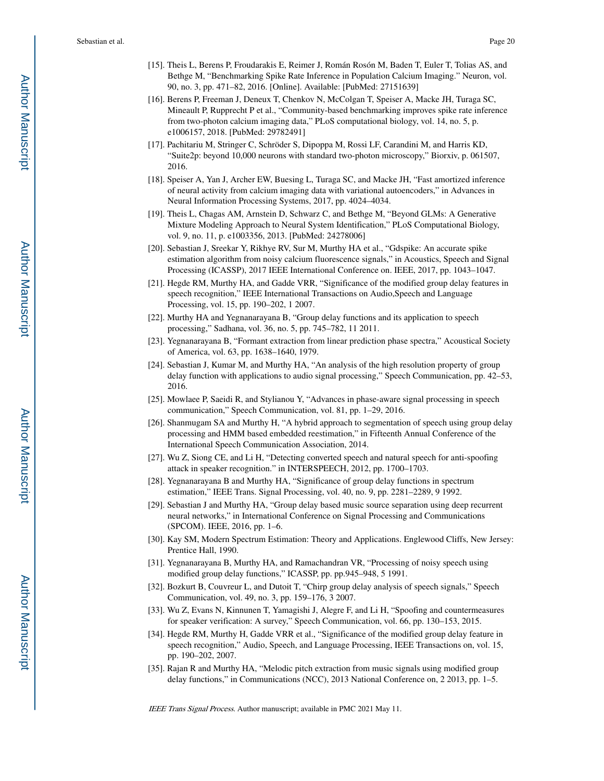- [15]. Theis L, Berens P, Froudarakis E, Reimer J, Román Rosón M, Baden T, Euler T, Tolias AS, and Bethge M, "Benchmarking Spike Rate Inference in Population Calcium Imaging." Neuron, vol. 90, no. 3, pp. 471–82, 2016. [Online]. Available: [PubMed: 27151639]
- [16]. Berens P, Freeman J, Deneux T, Chenkov N, McColgan T, Speiser A, Macke JH, Turaga SC, Mineault P, Rupprecht P et al., "Community-based benchmarking improves spike rate inference from two-photon calcium imaging data," PLoS computational biology, vol. 14, no. 5, p. e1006157, 2018. [PubMed: 29782491]
- [17]. Pachitariu M, Stringer C, Schröder S, Dipoppa M, Rossi LF, Carandini M, and Harris KD, "Suite2p: beyond 10,000 neurons with standard two-photon microscopy," Biorxiv, p. 061507, 2016.
- [18]. Speiser A, Yan J, Archer EW, Buesing L, Turaga SC, and Macke JH, "Fast amortized inference of neural activity from calcium imaging data with variational autoencoders," in Advances in Neural Information Processing Systems, 2017, pp. 4024–4034.
- [19]. Theis L, Chagas AM, Arnstein D, Schwarz C, and Bethge M, "Beyond GLMs: A Generative Mixture Modeling Approach to Neural System Identification," PLoS Computational Biology, vol. 9, no. 11, p. e1003356, 2013. [PubMed: 24278006]
- [20]. Sebastian J, Sreekar Y, Rikhye RV, Sur M, Murthy HA et al., "Gdspike: An accurate spike estimation algorithm from noisy calcium fluorescence signals," in Acoustics, Speech and Signal Processing (ICASSP), 2017 IEEE International Conference on. IEEE, 2017, pp. 1043–1047.
- [21]. Hegde RM, Murthy HA, and Gadde VRR, "Significance of the modified group delay features in speech recognition," IEEE International Transactions on Audio,Speech and Language Processing, vol. 15, pp. 190–202, 1 2007.
- [22]. Murthy HA and Yegnanarayana B, "Group delay functions and its application to speech processing," Sadhana, vol. 36, no. 5, pp. 745–782, 11 2011.
- [23]. Yegnanarayana B, "Formant extraction from linear prediction phase spectra," Acoustical Society of America, vol. 63, pp. 1638–1640, 1979.
- [24]. Sebastian J, Kumar M, and Murthy HA, "An analysis of the high resolution property of group delay function with applications to audio signal processing," Speech Communication, pp. 42–53, 2016.
- [25]. Mowlaee P, Saeidi R, and Stylianou Y, "Advances in phase-aware signal processing in speech communication," Speech Communication, vol. 81, pp. 1–29, 2016.
- [26]. Shanmugam SA and Murthy H, "A hybrid approach to segmentation of speech using group delay processing and HMM based embedded reestimation," in Fifteenth Annual Conference of the International Speech Communication Association, 2014.
- [27]. Wu Z, Siong CE, and Li H, "Detecting converted speech and natural speech for anti-spoofing attack in speaker recognition." in INTERSPEECH, 2012, pp. 1700–1703.
- [28]. Yegnanarayana B and Murthy HA, "Significance of group delay functions in spectrum estimation," IEEE Trans. Signal Processing, vol. 40, no. 9, pp. 2281–2289, 9 1992.
- [29]. Sebastian J and Murthy HA, "Group delay based music source separation using deep recurrent neural networks," in International Conference on Signal Processing and Communications (SPCOM). IEEE, 2016, pp. 1–6.
- [30]. Kay SM, Modern Spectrum Estimation: Theory and Applications. Englewood Cliffs, New Jersey: Prentice Hall, 1990.
- [31]. Yegnanarayana B, Murthy HA, and Ramachandran VR, "Processing of noisy speech using modified group delay functions," ICASSP, pp. pp.945–948, 5 1991.
- [32]. Bozkurt B, Couvreur L, and Dutoit T, "Chirp group delay analysis of speech signals," Speech Communication, vol. 49, no. 3, pp. 159–176, 3 2007.
- [33]. Wu Z, Evans N, Kinnunen T, Yamagishi J, Alegre F, and Li H, "Spoofing and countermeasures for speaker verification: A survey," Speech Communication, vol. 66, pp. 130–153, 2015.
- [34]. Hegde RM, Murthy H, Gadde VRR et al., "Significance of the modified group delay feature in speech recognition," Audio, Speech, and Language Processing, IEEE Transactions on, vol. 15, pp. 190–202, 2007.
- [35]. Rajan R and Murthy HA, "Melodic pitch extraction from music signals using modified group delay functions," in Communications (NCC), 2013 National Conference on, 2 2013, pp. 1–5.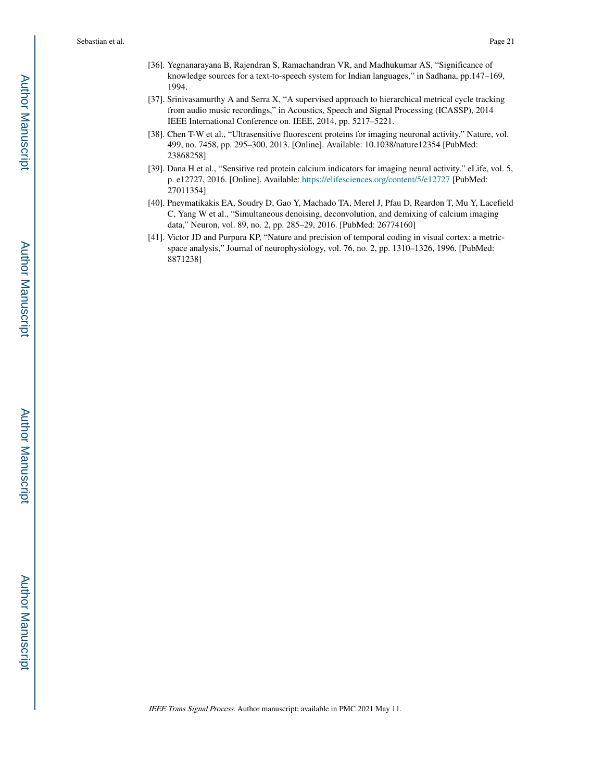- [36]. Yegnanarayana B, Rajendran S, Ramachandran VR, and Madhukumar AS, "Significance of knowledge sources for a text-to-speech system for Indian languages," in Sadhana, pp.147–169, 1994.
- [37]. Srinivasamurthy A and Serra X, "A supervised approach to hierarchical metrical cycle tracking from audio music recordings," in Acoustics, Speech and Signal Processing (ICASSP), 2014 IEEE International Conference on. IEEE, 2014, pp. 5217–5221.
- [38]. Chen T-W et al., "Ultrasensitive fluorescent proteins for imaging neuronal activity." Nature, vol. 499, no. 7458, pp. 295–300, 2013. [Online]. Available: 10.1038/nature12354 [PubMed: 23868258]
- [39]. Dana H et al., "Sensitive red protein calcium indicators for imaging neural activity." eLife, vol. 5, p. e12727, 2016. [Online]. Available: https://elifesciences.org/content/5/e12727 [PubMed: 27011354]
- [40]. Pnevmatikakis EA, Soudry D, Gao Y, Machado TA, Merel J, Pfau D, Reardon T, Mu Y, Lacefield C, Yang W et al., "Simultaneous denoising, deconvolution, and demixing of calcium imaging data," Neuron, vol. 89, no. 2, pp. 285–29, 2016. [PubMed: 26774160]
- [41]. Victor JD and Purpura KP, "Nature and precision of temporal coding in visual cortex: a metricspace analysis," Journal of neurophysiology, vol. 76, no. 2, pp. 1310–1326, 1996. [PubMed: 8871238]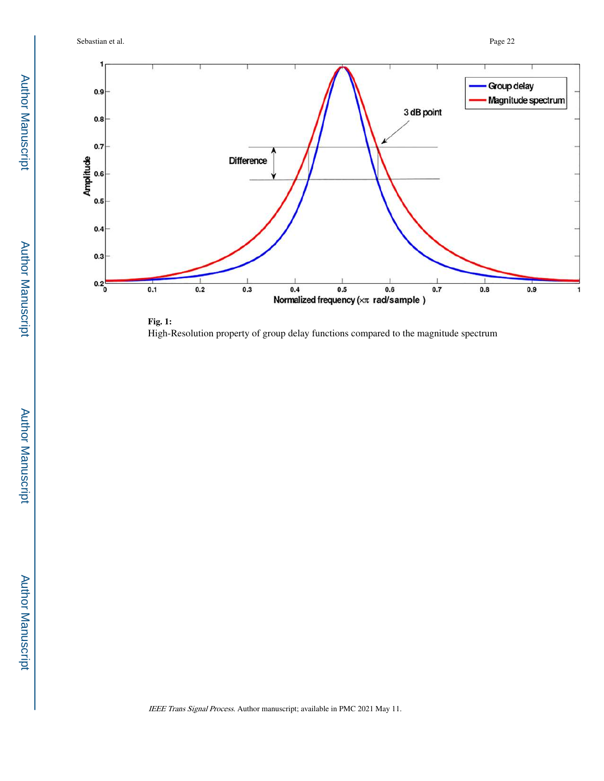Sebastian et al. Page 22



**Fig. 1:**  High-Resolution property of group delay functions compared to the magnitude spectrum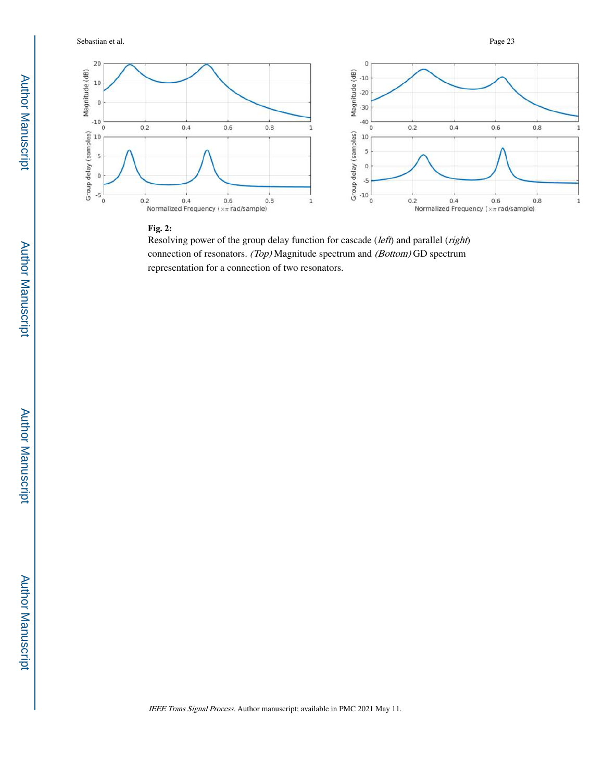

### **Fig. 2:**

Resolving power of the group delay function for cascade (left) and parallel (right) connection of resonators. (Top) Magnitude spectrum and (Bottom) GD spectrum representation for a connection of two resonators.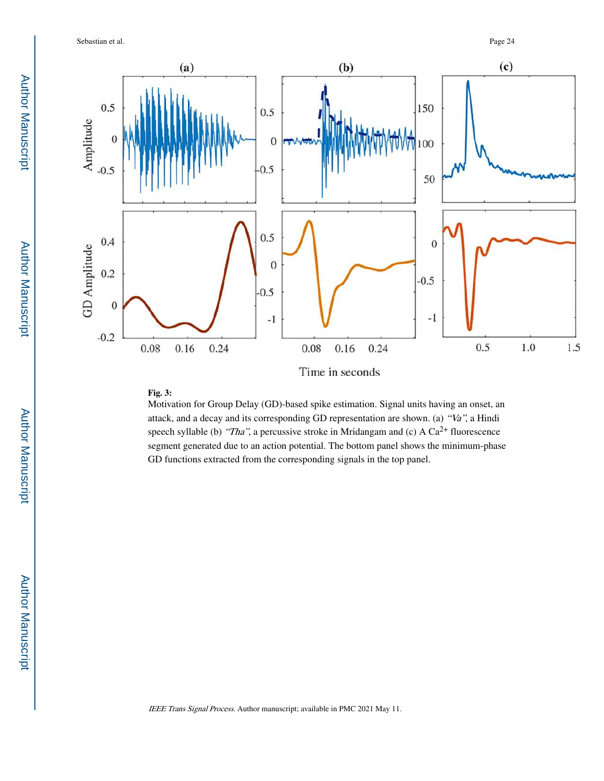

# **Fig. 3:**

Motivation for Group Delay (GD)-based spike estimation. Signal units having an onset, an attack, and a decay and its corresponding GD representation are shown. (a) "Va", a Hindi speech syllable (b) "Tha", a percussive stroke in Mridangam and (c) A  $Ca^{2+}$  fluorescence segment generated due to an action potential. The bottom panel shows the minimum-phase GD functions extracted from the corresponding signals in the top panel.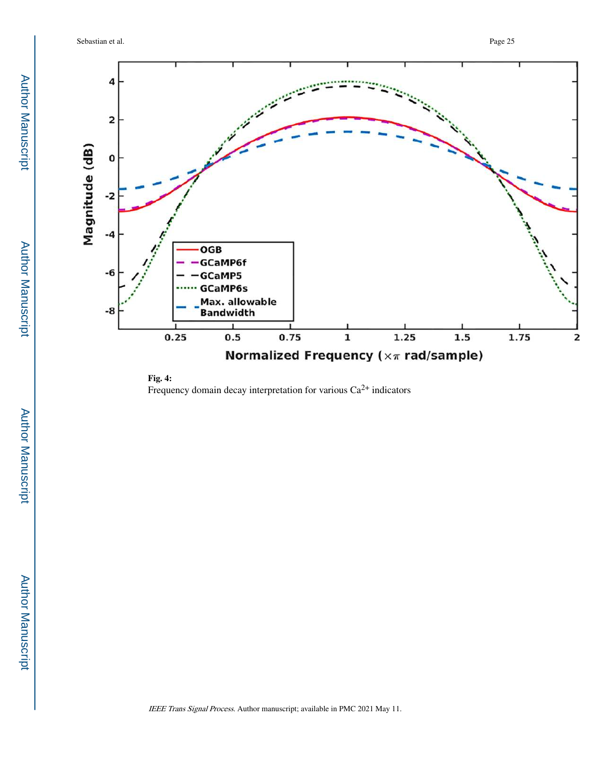

**Fig. 4:**  Frequency domain decay interpretation for various  $Ca^{2+}$  indicators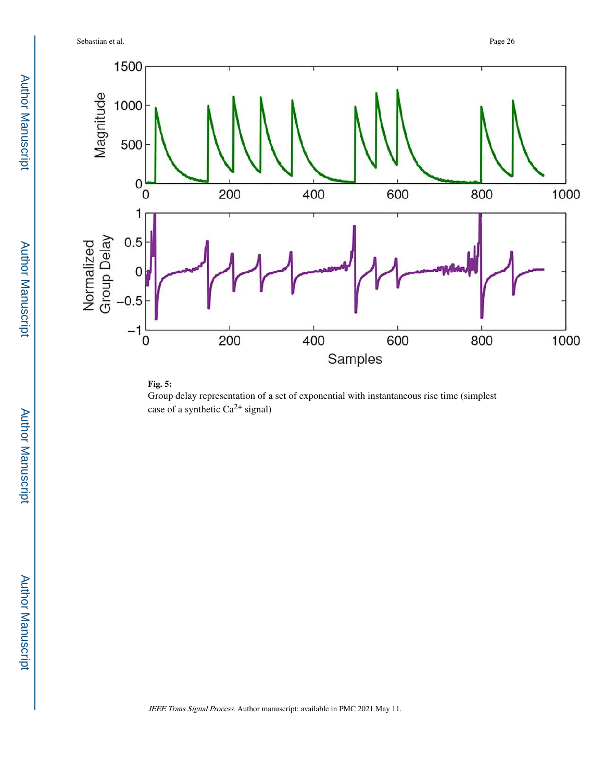Sebastian et al. Page 26



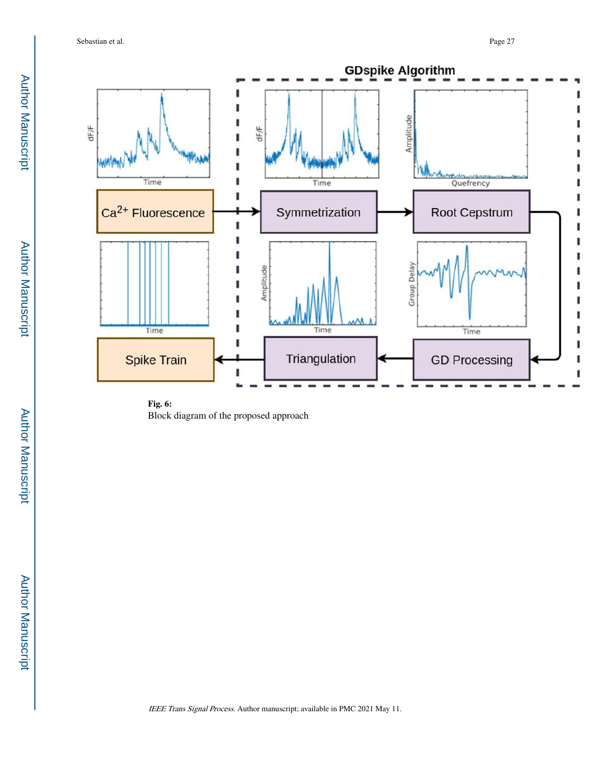Sebastian et al. Page 27



**Fig. 6:**  Block diagram of the proposed approach

Author Manuscript

Author Manuscript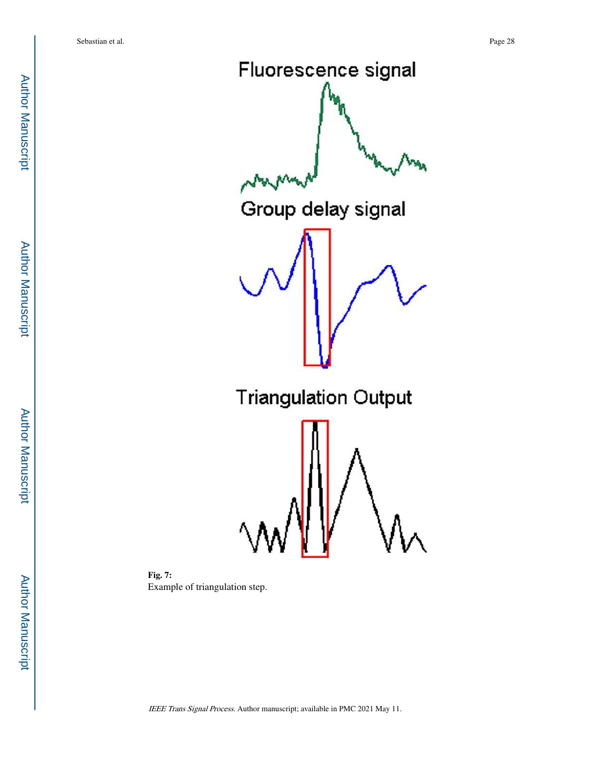Fluorescence signal Group delay signal **Triangulation Output** 

**Fig. 7:**  Example of triangulation step.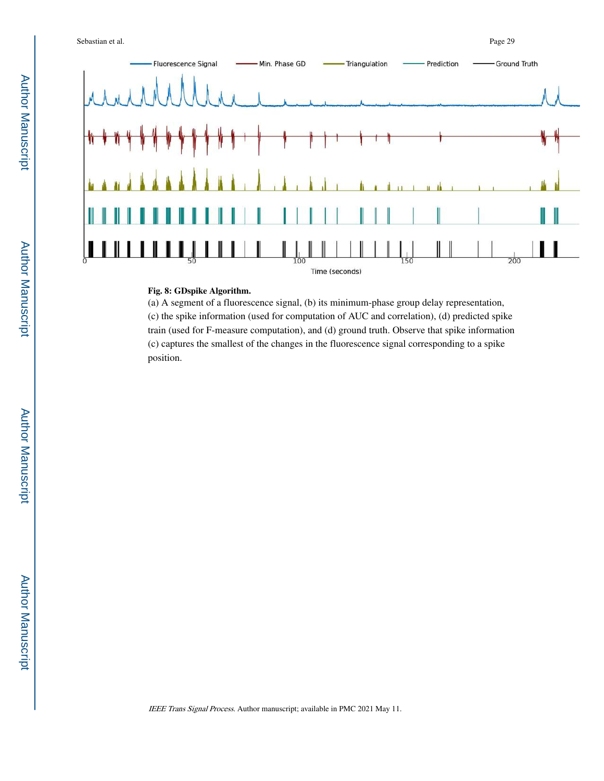

#### **Fig. 8: GDspike Algorithm.**

(a) A segment of a fluorescence signal, (b) its minimum-phase group delay representation, (c) the spike information (used for computation of AUC and correlation), (d) predicted spike train (used for F-measure computation), and (d) ground truth. Observe that spike information (c) captures the smallest of the changes in the fluorescence signal corresponding to a spike position.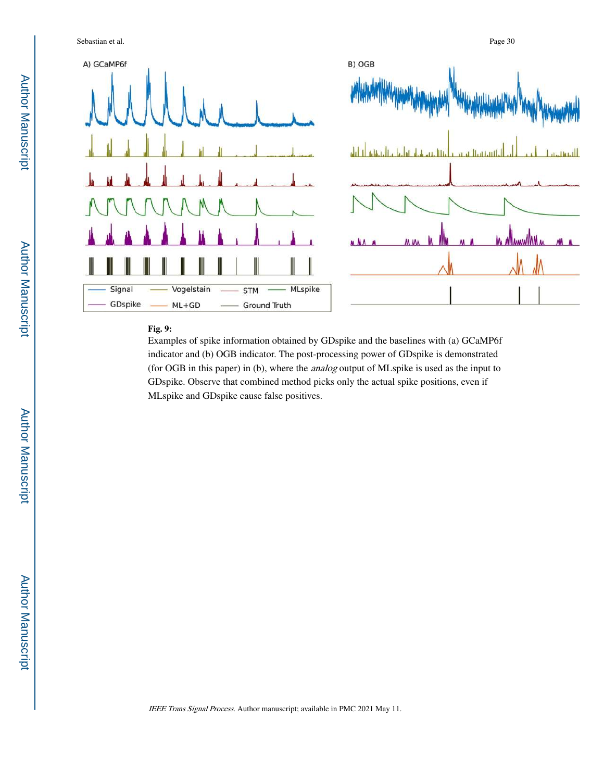

A) GCaMP6f



# **Fig. 9:**

Signal

GDspike

Examples of spike information obtained by GDspike and the baselines with (a) GCaMP6f indicator and (b) OGB indicator. The post-processing power of GDspike is demonstrated (for OGB in this paper) in (b), where the analog output of MLspike is used as the input to GDspike. Observe that combined method picks only the actual spike positions, even if MLspike and GDspike cause false positives.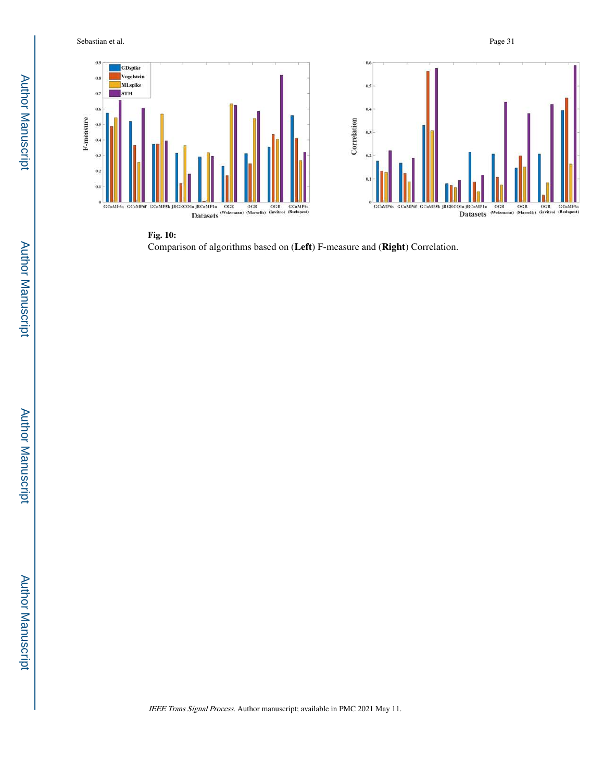



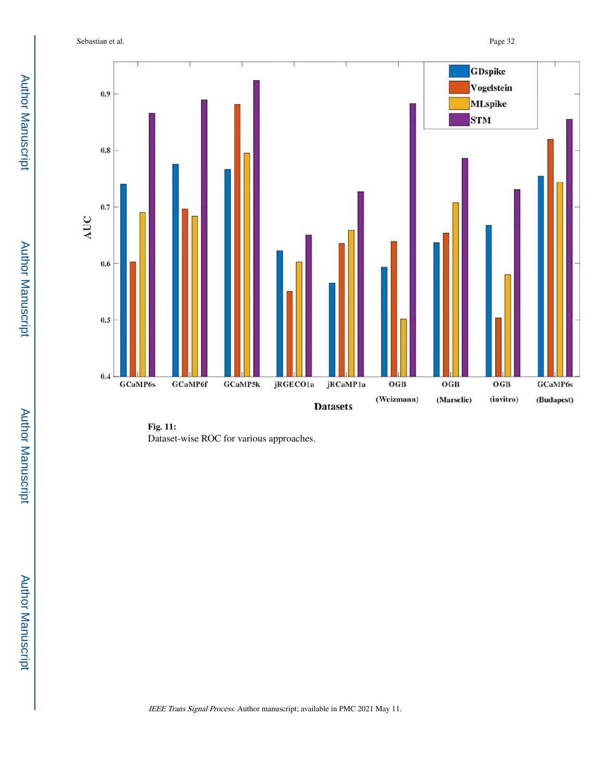Sebastian et al. Page 32



**Fig. 11:**  Dataset-wise ROC for various approaches.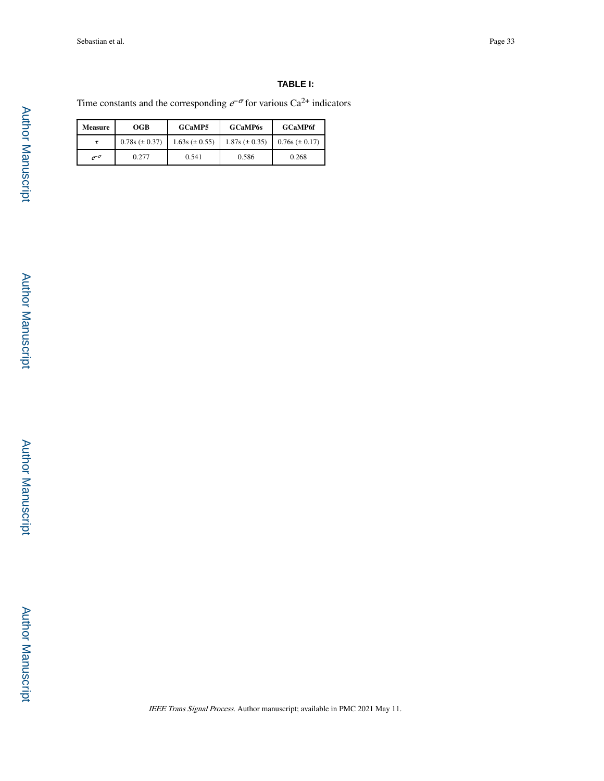# **TABLE I:**

Time constants and the corresponding  $e^{-\sigma}$  for various Ca<sup>2+</sup> indicators

| <b>Measure</b> | OGB                  | <b>GCaMP5</b>        | <b>GCaMP6s</b>       | <b>GCaMP6f</b>       |
|----------------|----------------------|----------------------|----------------------|----------------------|
|                | $0.78s \ (\pm 0.37)$ | $1.63s \ (\pm 0.55)$ | $1.87s \ (\pm 0.35)$ | $0.76s \ (\pm 0.17)$ |
| $e^{-\sigma}$  | 0.277                | 0.541                | 0.586                | 0.268                |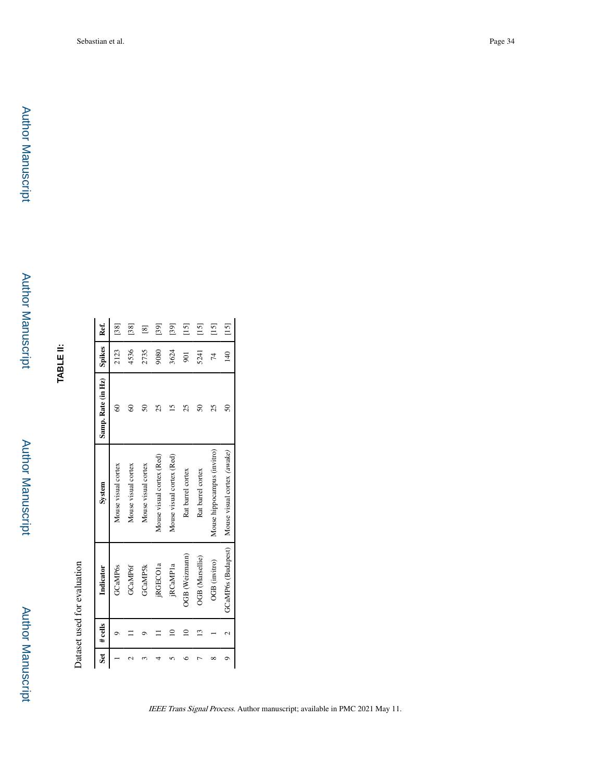**TABLE II:**

Dataset used for evaluation Dataset used for evaluation

| š | $#$ cells | Indicator            | System                      | Samp. Rate (in Hz) | Spikes         | Ref.                               |
|---|-----------|----------------------|-----------------------------|--------------------|----------------|------------------------------------|
|   |           | <b>GCaMP6s</b>       | Mouse visual cortex         | 3                  | 2123           | $[38]$                             |
|   |           | <b>GCaMP6f</b>       | Mouse visual cortex         | $\degree$          | 4536           | $[38]$                             |
|   |           | <b>GCaMP5k</b>       | Mouse visual cortex         | $50\,$             | 2735           | $\boxed{8}$                        |
|   |           | jRGECO <sub>1a</sub> | Mouse visual cortex (Red)   | 25                 | 9080           | $[39]$                             |
|   |           | jRCaMP1a             | Mouse visual cortex (Red)   | 5                  | 3624           | $[39]$                             |
|   |           | OGB (Weizmann)       | Rat barrel cortex           | 25                 | 501            | $[15]$                             |
|   | ن         | OGB (Marsellie)      | Rat barrel cortex           | $50\,$             | 5241           | $[15]$                             |
|   |           | OGB (invitro)        | Mouse hippocampus (invitro) | 25                 | 74             | $\begin{bmatrix} 15 \end{bmatrix}$ |
|   |           | GCaMP6s (Budapest)   | Mouse visual cortex (awake) | $50\,$             | $\frac{40}{5}$ | $[15]$                             |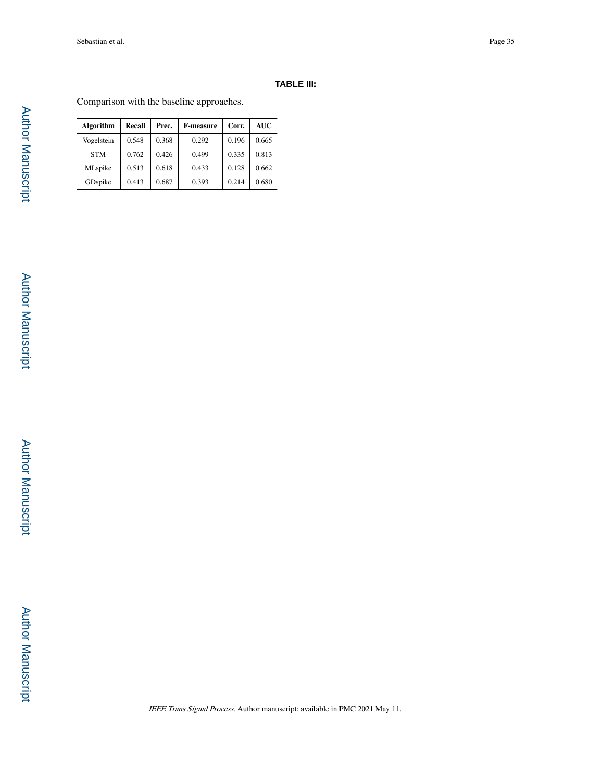# **TABLE III:**

Comparison with the baseline approaches.

| Algorithm  | Recall | Prec. | <b>F-measure</b> | Corr. | <b>AUC</b> |
|------------|--------|-------|------------------|-------|------------|
| Vogelstein | 0.548  | 0.368 | 0.292            | 0.196 | 0.665      |
| <b>STM</b> | 0.762  | 0.426 | 0.499            | 0.335 | 0.813      |
| MLspike    | 0.513  | 0.618 | 0.433            | 0.128 | 0.662      |
| GDspike    | 0.413  | 0.687 | 0.393            | 0.214 | 0.680      |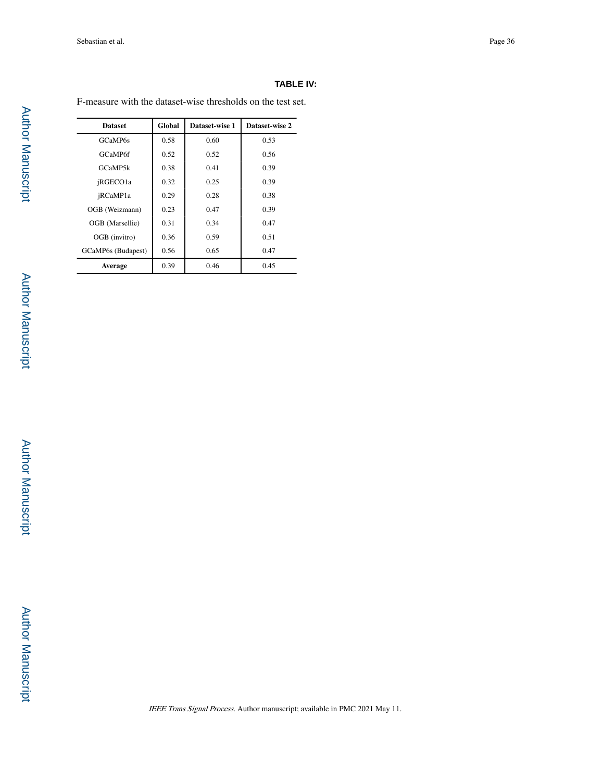# **TABLE IV:**

F-measure with the dataset-wise thresholds on the test set.

| <b>Dataset</b>     | Global | Dataset-wise 1 | Dataset-wise 2 |
|--------------------|--------|----------------|----------------|
| GCaMP6s            | 0.58   | 0.60           | 0.53           |
| GCaMP6f            | 0.52   | 0.52           | 0.56           |
| GCaMP5k            | 0.38   | 0.41           | 0.39           |
| jRGECO1a           | 0.32   | 0.25           | 0.39           |
| jRCaMP1a           | 0.29   | 0.28           | 0.38           |
| OGB (Weizmann)     | 0.23   | 0.47           | 0.39           |
| OGB (Marsellie)    | 0.31   | 0.34           | 0.47           |
| OGB (invitro)      | 0.36   | 0.59           | 0.51           |
| GCaMP6s (Budapest) | 0.56   | 0.65           | 0.47           |
| Average            | 0.39   | 0.46           | 0.45           |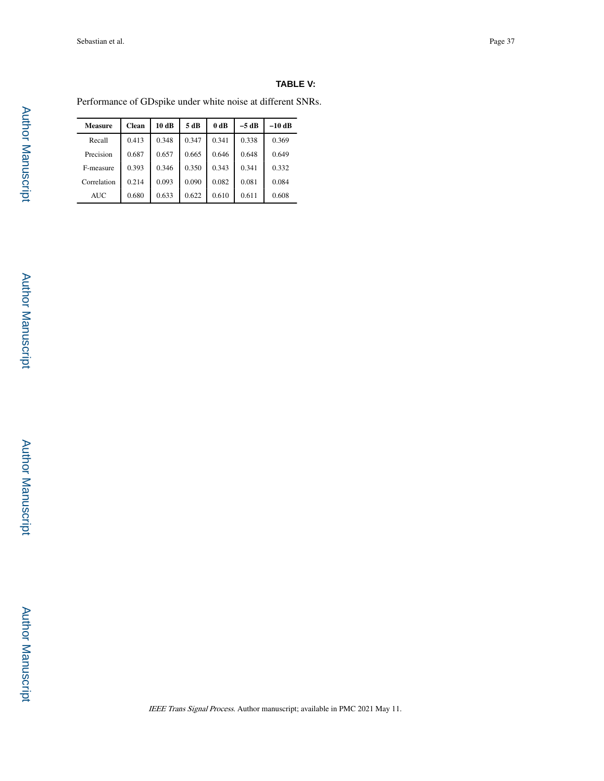# **TABLE V:**

Performance of GDspike under white noise at different SNRs.

| <b>Measure</b> | <b>Clean</b> | 10dB  | 5 dB  | 0 dB  | $-5$ dB | $-10$ dB |
|----------------|--------------|-------|-------|-------|---------|----------|
| Recall         | 0.413        | 0.348 | 0.347 | 0.341 | 0.338   | 0.369    |
| Precision      | 0.687        | 0.657 | 0.665 | 0.646 | 0.648   | 0.649    |
| F-measure      | 0.393        | 0.346 | 0.350 | 0.343 | 0.341   | 0.332    |
| Correlation    | 0.214        | 0.093 | 0.090 | 0.082 | 0.081   | 0.084    |
| <b>AUC</b>     | 0.680        | 0.633 | 0.622 | 0.610 | 0.611   | 0.608    |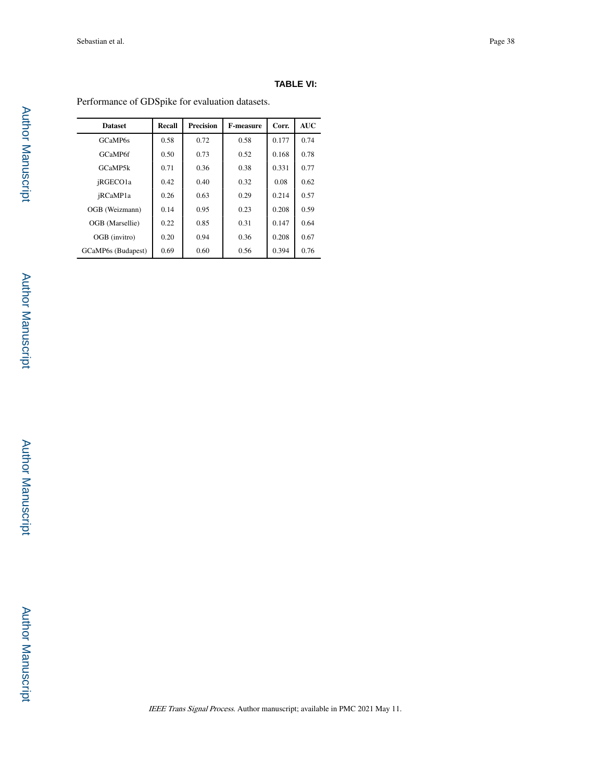# **TABLE VI:**

Performance of GDSpike for evaluation datasets.

| <b>Dataset</b>     | Recall | <b>Precision</b> | <b>F-measure</b> | Corr. | <b>AUC</b> |
|--------------------|--------|------------------|------------------|-------|------------|
| GCaMP6s            | 0.58   | 0.72             | 0.58             | 0.177 | 0.74       |
| GCaMP6f            | 0.50   | 0.73             | 0.52             | 0.168 | 0.78       |
| GCaMP5k            | 0.71   | 0.36             | 0.38             | 0.331 | 0.77       |
| jRGECO1a           | 0.42   | 0.40             | 0.32             | 0.08  | 0.62       |
| jRCaMP1a           | 0.26   | 0.63             | 0.29             | 0.214 | 0.57       |
| OGB (Weizmann)     | 0.14   | 0.95             | 0.23             | 0.208 | 0.59       |
| OGB (Marsellie)    | 0.22   | 0.85             | 0.31             | 0.147 | 0.64       |
| OGB (invitro)      | 0.20   | 0.94             | 0.36             | 0.208 | 0.67       |
| GCaMP6s (Budapest) | 0.69   | 0.60             | 0.56             | 0.394 | 0.76       |